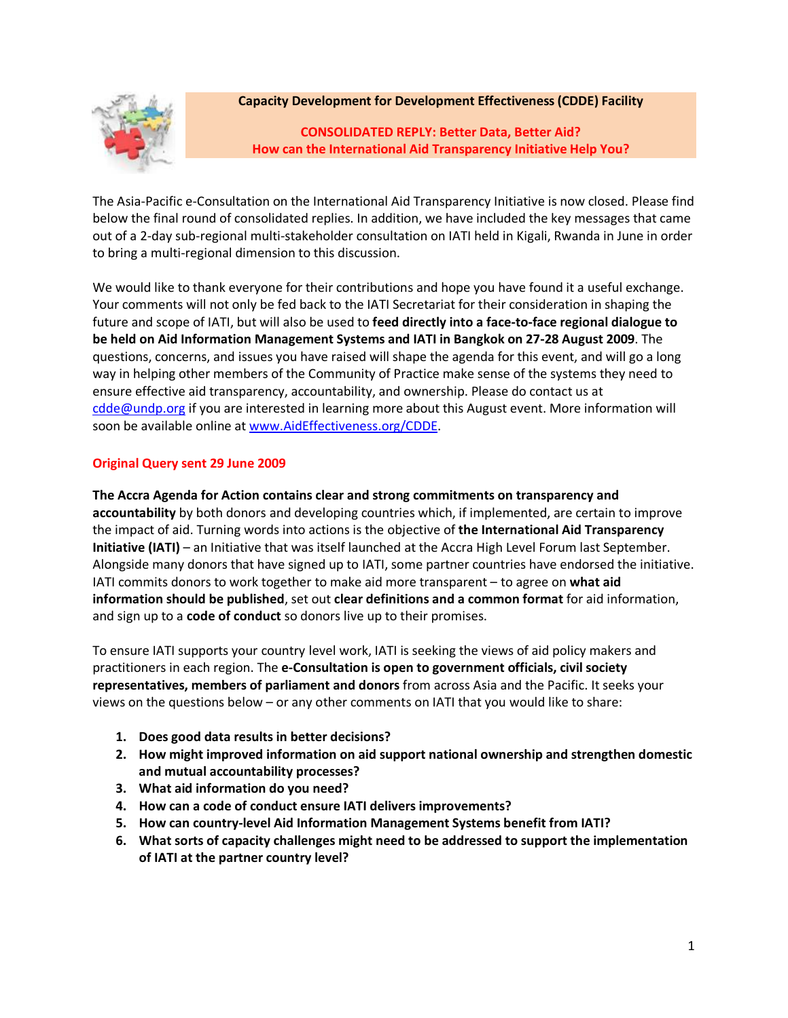

## **Capacity Development for Development Effectiveness (CDDE) Facility**

**CONSOLIDATED REPLY: Better Data, Better Aid? How can the International Aid Transparency Initiative Help You?**

The Asia-Pacific e-Consultation on the International Aid Transparency Initiative is now closed. Please find below the final round of consolidated replies. In addition, we have included the key messages that came out of a 2-day sub-regional multi-stakeholder consultation on IATI held in Kigali, Rwanda in June in order to bring a multi-regional dimension to this discussion.

We would like to thank everyone for their contributions and hope you have found it a useful exchange. Your comments will not only be fed back to the IATI Secretariat for their consideration in shaping the future and scope of IATI, but will also be used to **feed directly into a face-to-face regional dialogue to be held on Aid Information Management Systems and IATI in Bangkok on 27-28 August 2009**. The questions, concerns, and issues you have raised will shape the agenda for this event, and will go a long way in helping other members of the Community of Practice make sense of the systems they need to ensure effective aid transparency, accountability, and ownership. Please do contact us at [cdde@undp.org](mailto:cdde@undp.org) if you are interested in learning more about this August event. More information will soon be available online at [www.AidEffectiveness.org/CDDE.](http://www.aideffectiveness.org/CDDE)

# **Original Query sent 29 June 2009**

**The Accra Agenda for Action contains clear and strong commitments on transparency and accountability** by both donors and developing countries which, if implemented, are certain to improve the impact of aid. Turning words into actions is the objective of **the International Aid Transparency Initiative (IATI)** – an Initiative that was itself launched at the Accra High Level Forum last September. Alongside many donors that have signed up to IATI, some partner countries have endorsed the initiative. IATI commits donors to work together to make aid more transparent – to agree on **what aid information should be published**, set out **clear definitions and a common format** for aid information, and sign up to a **code of conduct** so donors live up to their promises.

To ensure IATI supports your country level work, IATI is seeking the views of aid policy makers and practitioners in each region. The **e-Consultation is open to government officials, civil society representatives, members of parliament and donors** from across Asia and the Pacific. It seeks your views on the questions below – or any other comments on IATI that you would like to share:

- **1. Does good data results in better decisions?**
- **2. How might improved information on aid support national ownership and strengthen domestic and mutual accountability processes?**
- **3. What aid information do you need?**
- **4. How can a code of conduct ensure IATI delivers improvements?**
- **5. How can country-level Aid Information Management Systems benefit from IATI?**
- **6. What sorts of capacity challenges might need to be addressed to support the implementation of IATI at the partner country level?**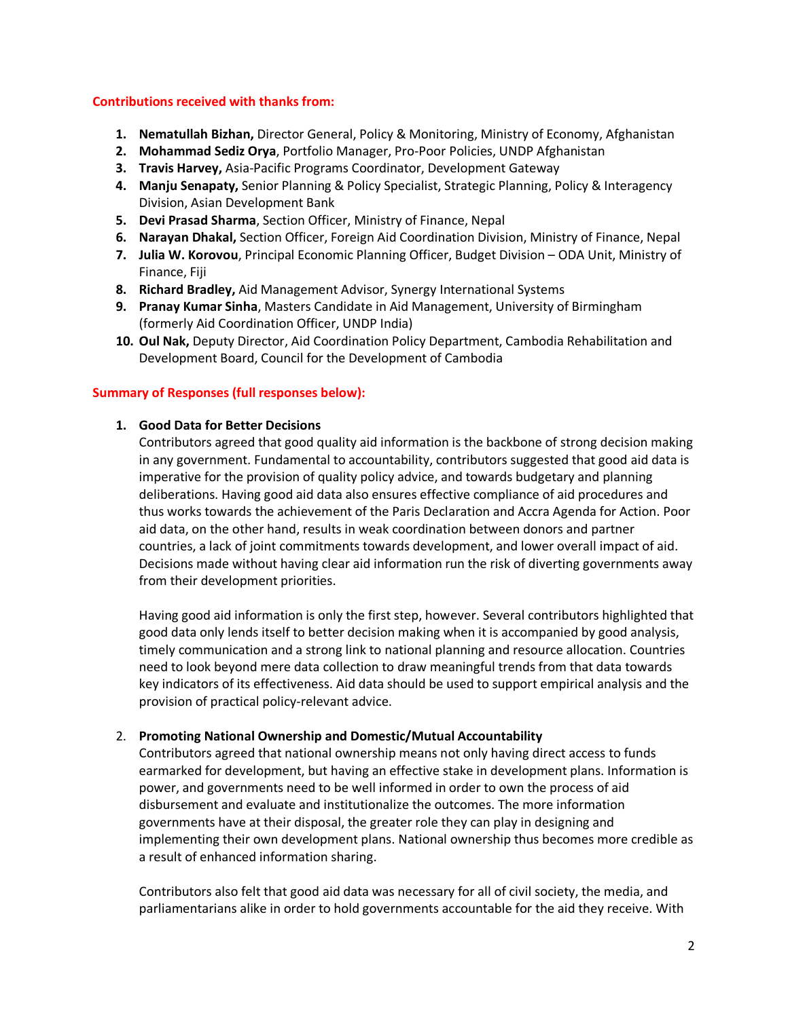### **Contributions received with thanks from:**

- **1. Nematullah Bizhan,** Director General, Policy & Monitoring, Ministry of Economy, Afghanistan
- **2. Mohammad Sediz Orya**, Portfolio Manager, Pro-Poor Policies, UNDP Afghanistan
- **3. Travis Harvey,** Asia-Pacific Programs Coordinator, Development Gateway
- **4. Manju Senapaty,** Senior Planning & Policy Specialist, Strategic Planning, Policy & Interagency Division, Asian Development Bank
- **5. Devi Prasad Sharma**, Section Officer, Ministry of Finance, Nepal
- **6. Narayan Dhakal,** Section Officer, Foreign Aid Coordination Division, Ministry of Finance, Nepal
- **7. Julia W. Korovou**, Principal Economic Planning Officer, Budget Division ODA Unit, Ministry of Finance, Fiji
- **8. Richard Bradley,** Aid Management Advisor, Synergy International Systems
- **9. Pranay Kumar Sinha**, Masters Candidate in Aid Management, University of Birmingham (formerly Aid Coordination Officer, UNDP India)
- **10. Oul Nak,** Deputy Director, Aid Coordination Policy Department, Cambodia Rehabilitation and Development Board, Council for the Development of Cambodia

### **Summary of Responses (full responses below):**

### **1. Good Data for Better Decisions**

Contributors agreed that good quality aid information is the backbone of strong decision making in any government. Fundamental to accountability, contributors suggested that good aid data is imperative for the provision of quality policy advice, and towards budgetary and planning deliberations. Having good aid data also ensures effective compliance of aid procedures and thus works towards the achievement of the Paris Declaration and Accra Agenda for Action. Poor aid data, on the other hand, results in weak coordination between donors and partner countries, a lack of joint commitments towards development, and lower overall impact of aid. Decisions made without having clear aid information run the risk of diverting governments away from their development priorities.

Having good aid information is only the first step, however. Several contributors highlighted that good data only lends itself to better decision making when it is accompanied by good analysis, timely communication and a strong link to national planning and resource allocation. Countries need to look beyond mere data collection to draw meaningful trends from that data towards key indicators of its effectiveness. Aid data should be used to support empirical analysis and the provision of practical policy-relevant advice.

#### 2. **Promoting National Ownership and Domestic/Mutual Accountability**

Contributors agreed that national ownership means not only having direct access to funds earmarked for development, but having an effective stake in development plans. Information is power, and governments need to be well informed in order to own the process of aid disbursement and evaluate and institutionalize the outcomes. The more information governments have at their disposal, the greater role they can play in designing and implementing their own development plans. National ownership thus becomes more credible as a result of enhanced information sharing.

Contributors also felt that good aid data was necessary for all of civil society, the media, and parliamentarians alike in order to hold governments accountable for the aid they receive. With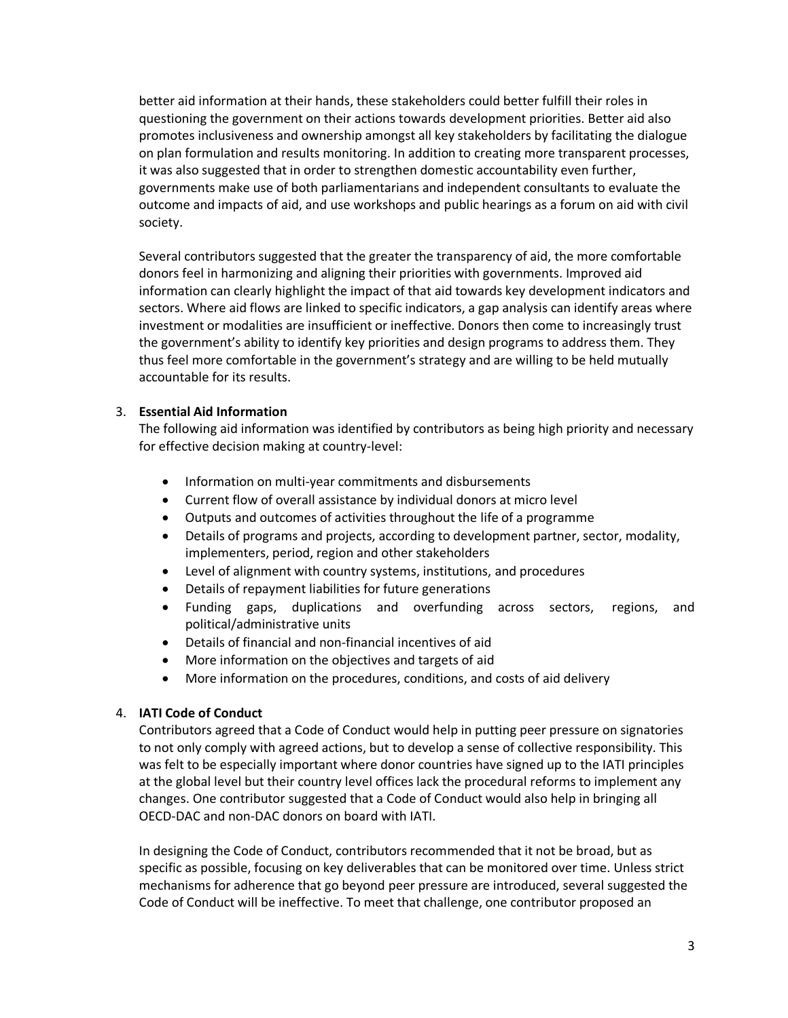better aid information at their hands, these stakeholders could better fulfill their roles in questioning the government on their actions towards development priorities. Better aid also promotes inclusiveness and ownership amongst all key stakeholders by facilitating the dialogue on plan formulation and results monitoring. In addition to creating more transparent processes, it was also suggested that in order to strengthen domestic accountability even further, governments make use of both parliamentarians and independent consultants to evaluate the outcome and impacts of aid, and use workshops and public hearings as a forum on aid with civil society.

Several contributors suggested that the greater the transparency of aid, the more comfortable donors feel in harmonizing and aligning their priorities with governments. Improved aid information can clearly highlight the impact of that aid towards key development indicators and sectors. Where aid flows are linked to specific indicators, a gap analysis can identify areas where investment or modalities are insufficient or ineffective. Donors then come to increasingly trust the government's ability to identify key priorities and design programs to address them. They thus feel more comfortable in the government's strategy and are willing to be held mutually accountable for its results.

### 3. **Essential Aid Information**

The following aid information was identified by contributors as being high priority and necessary for effective decision making at country-level:

- Information on multi-year commitments and disbursements
- Current flow of overall assistance by individual donors at micro level
- Outputs and outcomes of activities throughout the life of a programme
- Details of programs and projects, according to development partner, sector, modality, implementers, period, region and other stakeholders
- Level of alignment with country systems, institutions, and procedures
- Details of repayment liabilities for future generations
- Funding gaps, duplications and overfunding across sectors, regions, and political/administrative units
- Details of financial and non-financial incentives of aid
- More information on the objectives and targets of aid
- More information on the procedures, conditions, and costs of aid delivery

### 4. **IATI Code of Conduct**

Contributors agreed that a Code of Conduct would help in putting peer pressure on signatories to not only comply with agreed actions, but to develop a sense of collective responsibility. This was felt to be especially important where donor countries have signed up to the IATI principles at the global level but their country level offices lack the procedural reforms to implement any changes. One contributor suggested that a Code of Conduct would also help in bringing all OECD-DAC and non-DAC donors on board with IATI.

In designing the Code of Conduct, contributors recommended that it not be broad, but as specific as possible, focusing on key deliverables that can be monitored over time. Unless strict mechanisms for adherence that go beyond peer pressure are introduced, several suggested the Code of Conduct will be ineffective. To meet that challenge, one contributor proposed an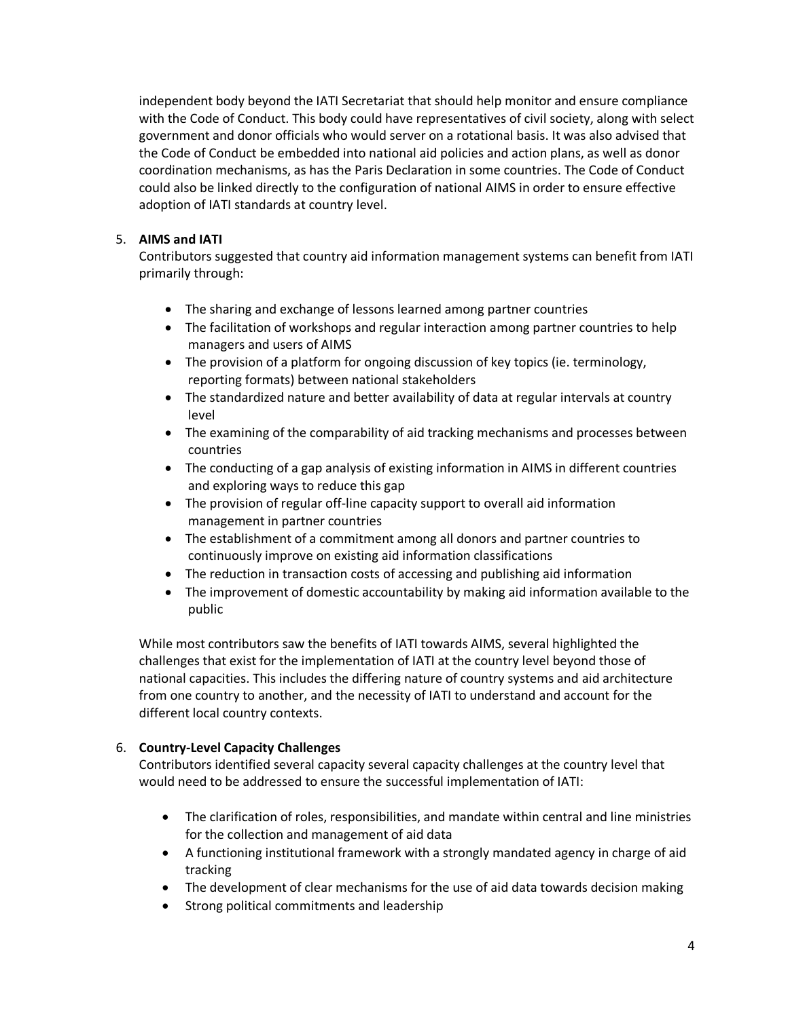independent body beyond the IATI Secretariat that should help monitor and ensure compliance with the Code of Conduct. This body could have representatives of civil society, along with select government and donor officials who would server on a rotational basis. It was also advised that the Code of Conduct be embedded into national aid policies and action plans, as well as donor coordination mechanisms, as has the Paris Declaration in some countries. The Code of Conduct could also be linked directly to the configuration of national AIMS in order to ensure effective adoption of IATI standards at country level.

## 5. **AIMS and IATI**

Contributors suggested that country aid information management systems can benefit from IATI primarily through:

- The sharing and exchange of lessons learned among partner countries
- The facilitation of workshops and regular interaction among partner countries to help managers and users of AIMS
- The provision of a platform for ongoing discussion of key topics (ie. terminology, reporting formats) between national stakeholders
- The standardized nature and better availability of data at regular intervals at country level
- The examining of the comparability of aid tracking mechanisms and processes between countries
- The conducting of a gap analysis of existing information in AIMS in different countries and exploring ways to reduce this gap
- The provision of regular off-line capacity support to overall aid information management in partner countries
- The establishment of a commitment among all donors and partner countries to continuously improve on existing aid information classifications
- The reduction in transaction costs of accessing and publishing aid information
- The improvement of domestic accountability by making aid information available to the public

While most contributors saw the benefits of IATI towards AIMS, several highlighted the challenges that exist for the implementation of IATI at the country level beyond those of national capacities. This includes the differing nature of country systems and aid architecture from one country to another, and the necessity of IATI to understand and account for the different local country contexts.

# 6. **Country-Level Capacity Challenges**

Contributors identified several capacity several capacity challenges at the country level that would need to be addressed to ensure the successful implementation of IATI:

- The clarification of roles, responsibilities, and mandate within central and line ministries for the collection and management of aid data
- A functioning institutional framework with a strongly mandated agency in charge of aid tracking
- The development of clear mechanisms for the use of aid data towards decision making
- Strong political commitments and leadership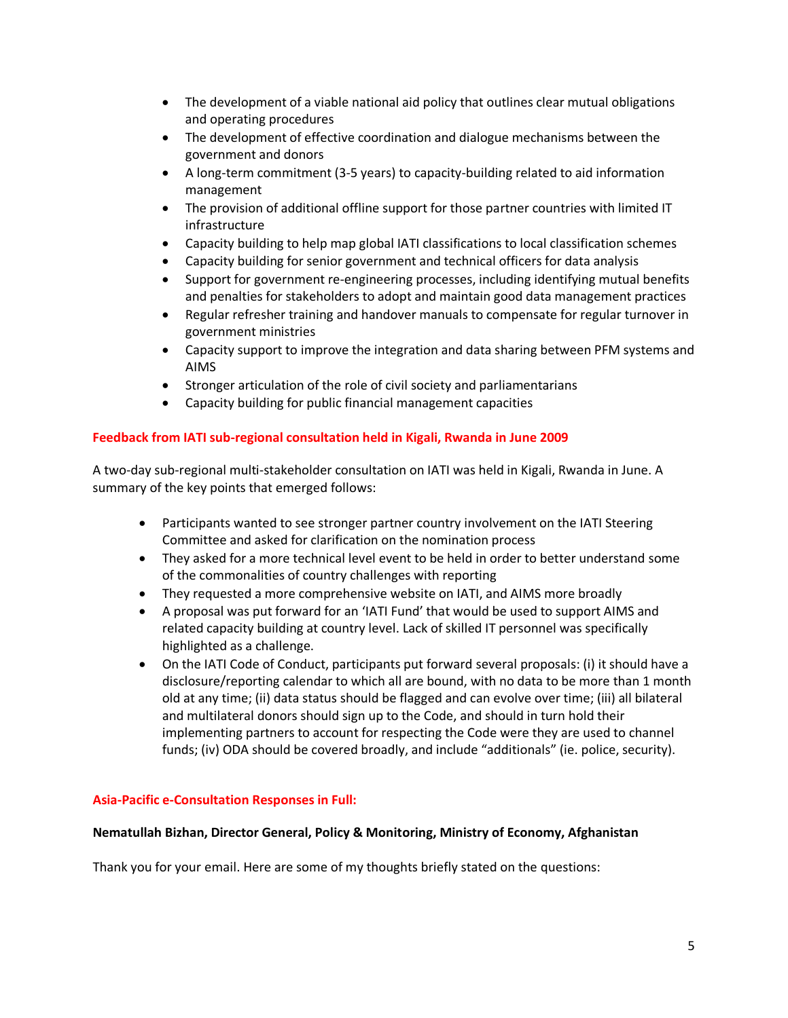- The development of a viable national aid policy that outlines clear mutual obligations and operating procedures
- The development of effective coordination and dialogue mechanisms between the government and donors
- A long-term commitment (3-5 years) to capacity-building related to aid information management
- The provision of additional offline support for those partner countries with limited IT infrastructure
- Capacity building to help map global IATI classifications to local classification schemes
- Capacity building for senior government and technical officers for data analysis
- Support for government re-engineering processes, including identifying mutual benefits and penalties for stakeholders to adopt and maintain good data management practices
- Regular refresher training and handover manuals to compensate for regular turnover in government ministries
- Capacity support to improve the integration and data sharing between PFM systems and AIMS
- Stronger articulation of the role of civil society and parliamentarians
- Capacity building for public financial management capacities

## **Feedback from IATI sub-regional consultation held in Kigali, Rwanda in June 2009**

A two-day sub-regional multi-stakeholder consultation on IATI was held in Kigali, Rwanda in June. A summary of the key points that emerged follows:

- Participants wanted to see stronger partner country involvement on the IATI Steering Committee and asked for clarification on the nomination process
- They asked for a more technical level event to be held in order to better understand some of the commonalities of country challenges with reporting
- They requested a more comprehensive website on IATI, and AIMS more broadly
- A proposal was put forward for an 'IATI Fund' that would be used to support AIMS and related capacity building at country level. Lack of skilled IT personnel was specifically highlighted as a challenge.
- On the IATI Code of Conduct, participants put forward several proposals: (i) it should have a disclosure/reporting calendar to which all are bound, with no data to be more than 1 month old at any time; (ii) data status should be flagged and can evolve over time; (iii) all bilateral and multilateral donors should sign up to the Code, and should in turn hold their implementing partners to account for respecting the Code were they are used to channel funds; (iv) ODA should be covered broadly, and include "additionals" (ie. police, security).

### **Asia-Pacific e-Consultation Responses in Full:**

### **Nematullah Bizhan, Director General, Policy & Monitoring, Ministry of Economy, Afghanistan**

Thank you for your email. Here are some of my thoughts briefly stated on the questions: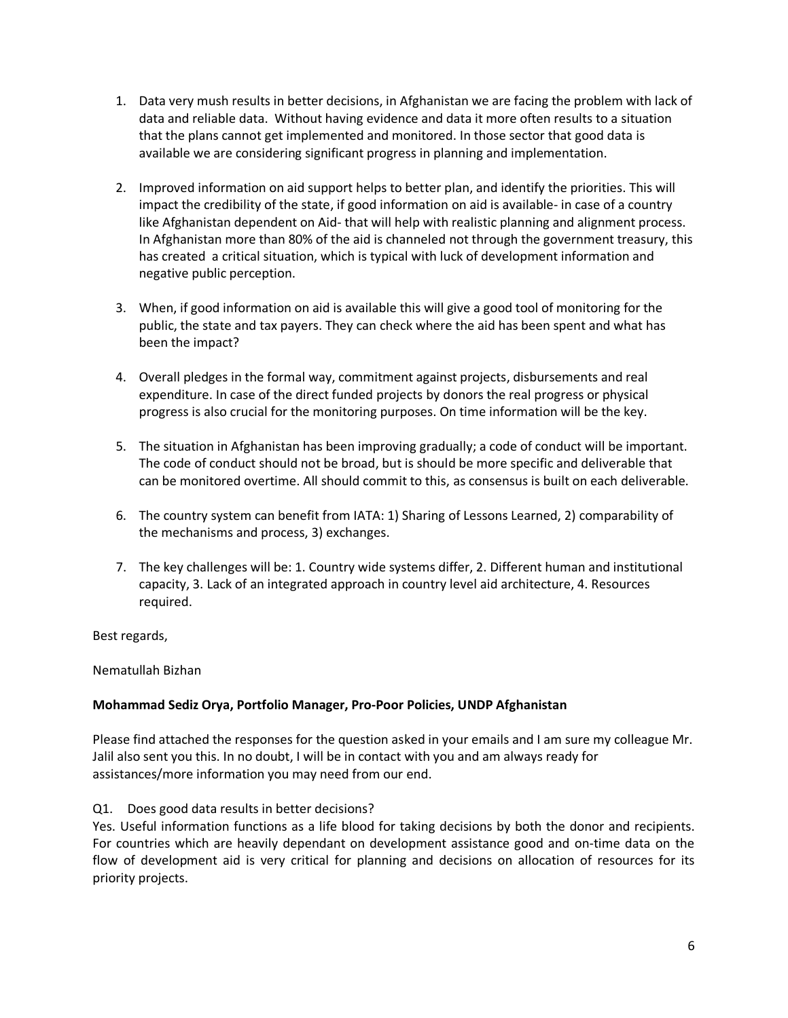- 1. Data very mush results in better decisions, in Afghanistan we are facing the problem with lack of data and reliable data. Without having evidence and data it more often results to a situation that the plans cannot get implemented and monitored. In those sector that good data is available we are considering significant progress in planning and implementation.
- 2. Improved information on aid support helps to better plan, and identify the priorities. This will impact the credibility of the state, if good information on aid is available- in case of a country like Afghanistan dependent on Aid- that will help with realistic planning and alignment process. In Afghanistan more than 80% of the aid is channeled not through the government treasury, this has created a critical situation, which is typical with luck of development information and negative public perception.
- 3. When, if good information on aid is available this will give a good tool of monitoring for the public, the state and tax payers. They can check where the aid has been spent and what has been the impact?
- 4. Overall pledges in the formal way, commitment against projects, disbursements and real expenditure. In case of the direct funded projects by donors the real progress or physical progress is also crucial for the monitoring purposes. On time information will be the key.
- 5. The situation in Afghanistan has been improving gradually; a code of conduct will be important. The code of conduct should not be broad, but is should be more specific and deliverable that can be monitored overtime. All should commit to this, as consensus is built on each deliverable.
- 6. The country system can benefit from IATA: 1) Sharing of Lessons Learned, 2) comparability of the mechanisms and process, 3) exchanges.
- 7. The key challenges will be: 1. Country wide systems differ, 2. Different human and institutional capacity, 3. Lack of an integrated approach in country level aid architecture, 4. Resources required.

Best regards,

Nematullah Bizhan

# **Mohammad Sediz Orya, Portfolio Manager, Pro-Poor Policies, UNDP Afghanistan**

Please find attached the responses for the question asked in your emails and I am sure my colleague Mr. Jalil also sent you this. In no doubt, I will be in contact with you and am always ready for assistances/more information you may need from our end.

# Q1. Does good data results in better decisions?

Yes. Useful information functions as a life blood for taking decisions by both the donor and recipients. For countries which are heavily dependant on development assistance good and on-time data on the flow of development aid is very critical for planning and decisions on allocation of resources for its priority projects.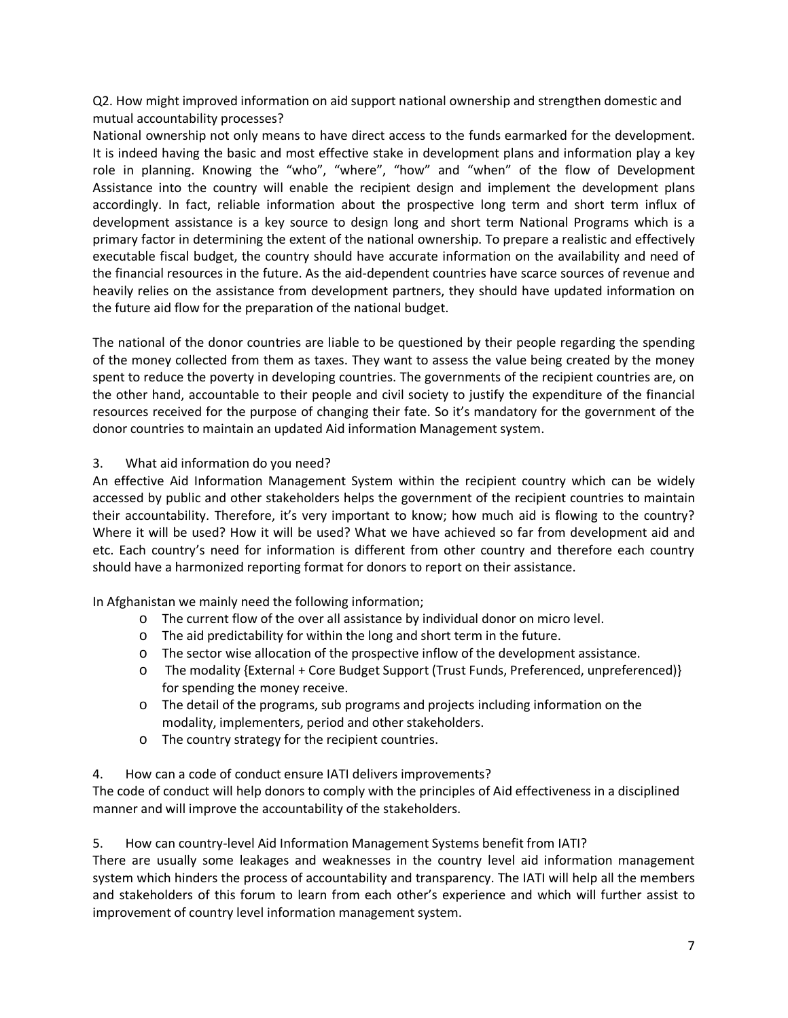Q2. How might improved information on aid support national ownership and strengthen domestic and mutual accountability processes?

National ownership not only means to have direct access to the funds earmarked for the development. It is indeed having the basic and most effective stake in development plans and information play a key role in planning. Knowing the "who", "where", "how" and "when" of the flow of Development Assistance into the country will enable the recipient design and implement the development plans accordingly. In fact, reliable information about the prospective long term and short term influx of development assistance is a key source to design long and short term National Programs which is a primary factor in determining the extent of the national ownership. To prepare a realistic and effectively executable fiscal budget, the country should have accurate information on the availability and need of the financial resources in the future. As the aid-dependent countries have scarce sources of revenue and heavily relies on the assistance from development partners, they should have updated information on the future aid flow for the preparation of the national budget.

The national of the donor countries are liable to be questioned by their people regarding the spending of the money collected from them as taxes. They want to assess the value being created by the money spent to reduce the poverty in developing countries. The governments of the recipient countries are, on the other hand, accountable to their people and civil society to justify the expenditure of the financial resources received for the purpose of changing their fate. So it's mandatory for the government of the donor countries to maintain an updated Aid information Management system.

## 3. What aid information do you need?

An effective Aid Information Management System within the recipient country which can be widely accessed by public and other stakeholders helps the government of the recipient countries to maintain their accountability. Therefore, it's very important to know; how much aid is flowing to the country? Where it will be used? How it will be used? What we have achieved so far from development aid and etc. Each country's need for information is different from other country and therefore each country should have a harmonized reporting format for donors to report on their assistance.

In Afghanistan we mainly need the following information;

- o The current flow of the over all assistance by individual donor on micro level.
- o The aid predictability for within the long and short term in the future.
- o The sector wise allocation of the prospective inflow of the development assistance.
- o The modality {External + Core Budget Support (Trust Funds, Preferenced, unpreferenced)} for spending the money receive.
- o The detail of the programs, sub programs and projects including information on the modality, implementers, period and other stakeholders.
- o The country strategy for the recipient countries.

# 4. How can a code of conduct ensure IATI delivers improvements?

The code of conduct will help donors to comply with the principles of Aid effectiveness in a disciplined manner and will improve the accountability of the stakeholders.

### 5. How can country-level Aid Information Management Systems benefit from IATI?

There are usually some leakages and weaknesses in the country level aid information management system which hinders the process of accountability and transparency. The IATI will help all the members and stakeholders of this forum to learn from each other's experience and which will further assist to improvement of country level information management system.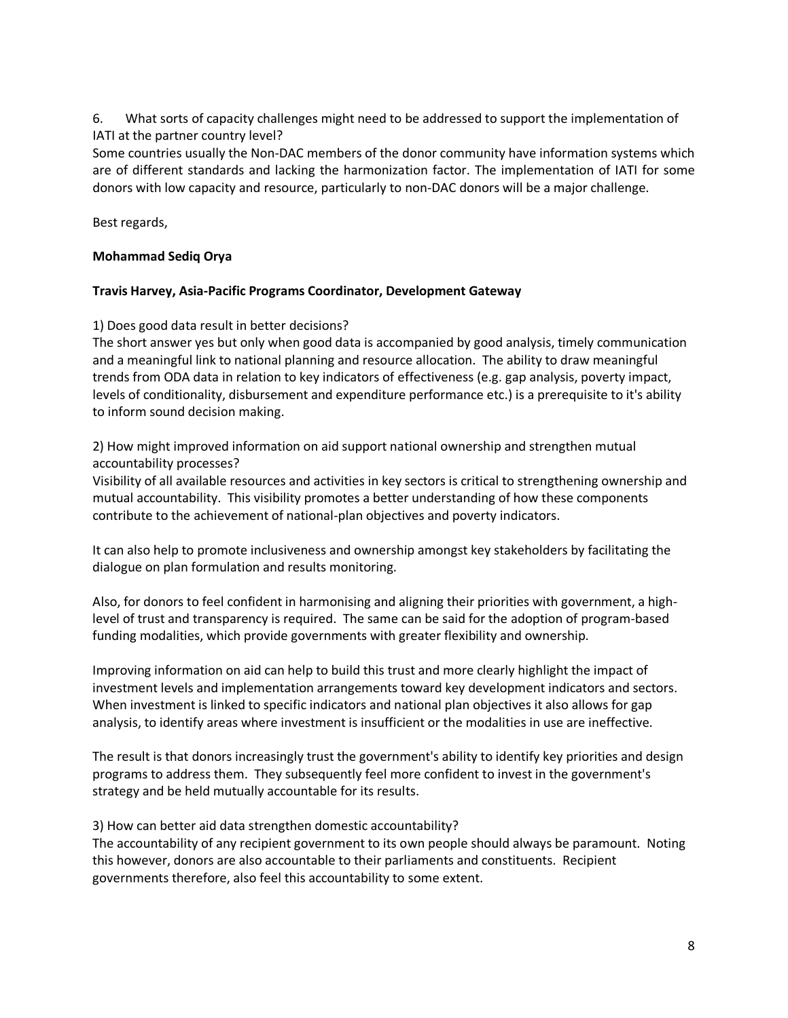6. What sorts of capacity challenges might need to be addressed to support the implementation of IATI at the partner country level?

Some countries usually the Non-DAC members of the donor community have information systems which are of different standards and lacking the harmonization factor. The implementation of IATI for some donors with low capacity and resource, particularly to non-DAC donors will be a major challenge.

Best regards,

## **Mohammad Sediq Orya**

### **Travis Harvey, Asia-Pacific Programs Coordinator, Development Gateway**

1) Does good data result in better decisions?

The short answer yes but only when good data is accompanied by good analysis, timely communication and a meaningful link to national planning and resource allocation. The ability to draw meaningful trends from ODA data in relation to key indicators of effectiveness (e.g. gap analysis, poverty impact, levels of conditionality, disbursement and expenditure performance etc.) is a prerequisite to it's ability to inform sound decision making.

2) How might improved information on aid support national ownership and strengthen mutual accountability processes?

Visibility of all available resources and activities in key sectors is critical to strengthening ownership and mutual accountability. This visibility promotes a better understanding of how these components contribute to the achievement of national-plan objectives and poverty indicators.

It can also help to promote inclusiveness and ownership amongst key stakeholders by facilitating the dialogue on plan formulation and results monitoring.

Also, for donors to feel confident in harmonising and aligning their priorities with government, a highlevel of trust and transparency is required. The same can be said for the adoption of program-based funding modalities, which provide governments with greater flexibility and ownership.

Improving information on aid can help to build this trust and more clearly highlight the impact of investment levels and implementation arrangements toward key development indicators and sectors. When investment is linked to specific indicators and national plan objectives it also allows for gap analysis, to identify areas where investment is insufficient or the modalities in use are ineffective.

The result is that donors increasingly trust the government's ability to identify key priorities and design programs to address them. They subsequently feel more confident to invest in the government's strategy and be held mutually accountable for its results.

3) How can better aid data strengthen domestic accountability?

The accountability of any recipient government to its own people should always be paramount. Noting this however, donors are also accountable to their parliaments and constituents. Recipient governments therefore, also feel this accountability to some extent.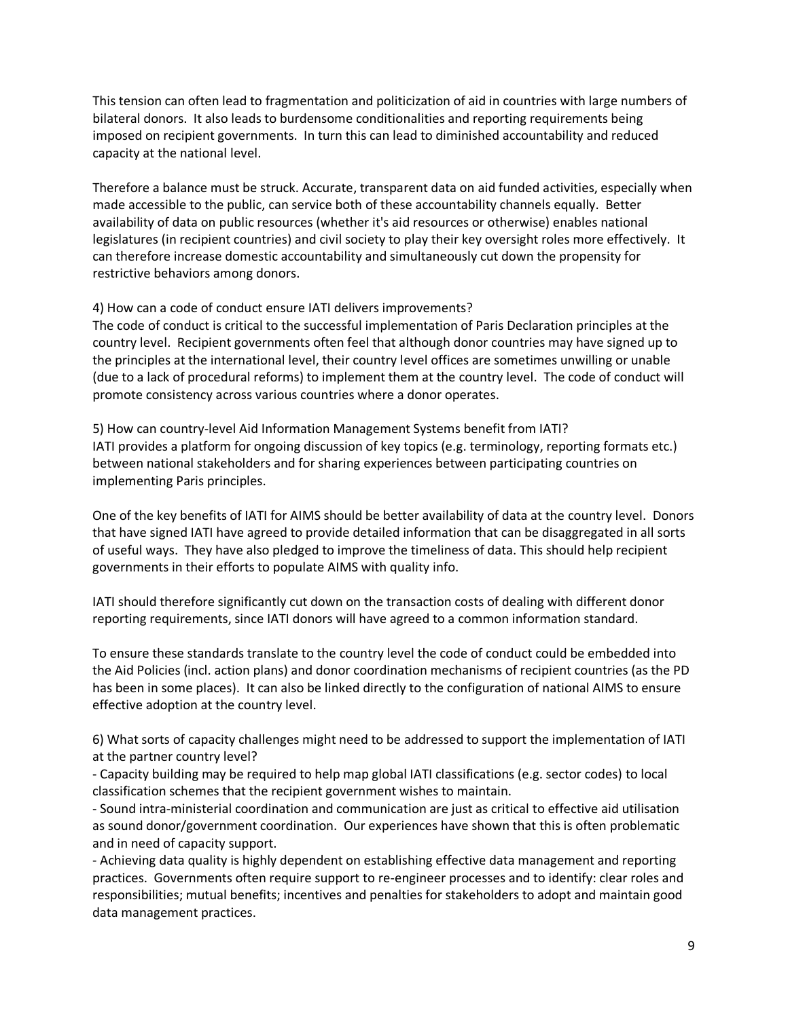This tension can often lead to fragmentation and politicization of aid in countries with large numbers of bilateral donors. It also leads to burdensome conditionalities and reporting requirements being imposed on recipient governments. In turn this can lead to diminished accountability and reduced capacity at the national level.

Therefore a balance must be struck. Accurate, transparent data on aid funded activities, especially when made accessible to the public, can service both of these accountability channels equally. Better availability of data on public resources (whether it's aid resources or otherwise) enables national legislatures (in recipient countries) and civil society to play their key oversight roles more effectively. It can therefore increase domestic accountability and simultaneously cut down the propensity for restrictive behaviors among donors.

## 4) How can a code of conduct ensure IATI delivers improvements?

The code of conduct is critical to the successful implementation of Paris Declaration principles at the country level. Recipient governments often feel that although donor countries may have signed up to the principles at the international level, their country level offices are sometimes unwilling or unable (due to a lack of procedural reforms) to implement them at the country level. The code of conduct will promote consistency across various countries where a donor operates.

5) How can country-level Aid Information Management Systems benefit from IATI? IATI provides a platform for ongoing discussion of key topics (e.g. terminology, reporting formats etc.) between national stakeholders and for sharing experiences between participating countries on implementing Paris principles.

One of the key benefits of IATI for AIMS should be better availability of data at the country level. Donors that have signed IATI have agreed to provide detailed information that can be disaggregated in all sorts of useful ways. They have also pledged to improve the timeliness of data. This should help recipient governments in their efforts to populate AIMS with quality info.

IATI should therefore significantly cut down on the transaction costs of dealing with different donor reporting requirements, since IATI donors will have agreed to a common information standard.

To ensure these standards translate to the country level the code of conduct could be embedded into the Aid Policies (incl. action plans) and donor coordination mechanisms of recipient countries (as the PD has been in some places). It can also be linked directly to the configuration of national AIMS to ensure effective adoption at the country level.

6) What sorts of capacity challenges might need to be addressed to support the implementation of IATI at the partner country level?

- Capacity building may be required to help map global IATI classifications (e.g. sector codes) to local classification schemes that the recipient government wishes to maintain.

- Sound intra-ministerial coordination and communication are just as critical to effective aid utilisation as sound donor/government coordination. Our experiences have shown that this is often problematic and in need of capacity support.

- Achieving data quality is highly dependent on establishing effective data management and reporting practices. Governments often require support to re-engineer processes and to identify: clear roles and responsibilities; mutual benefits; incentives and penalties for stakeholders to adopt and maintain good data management practices.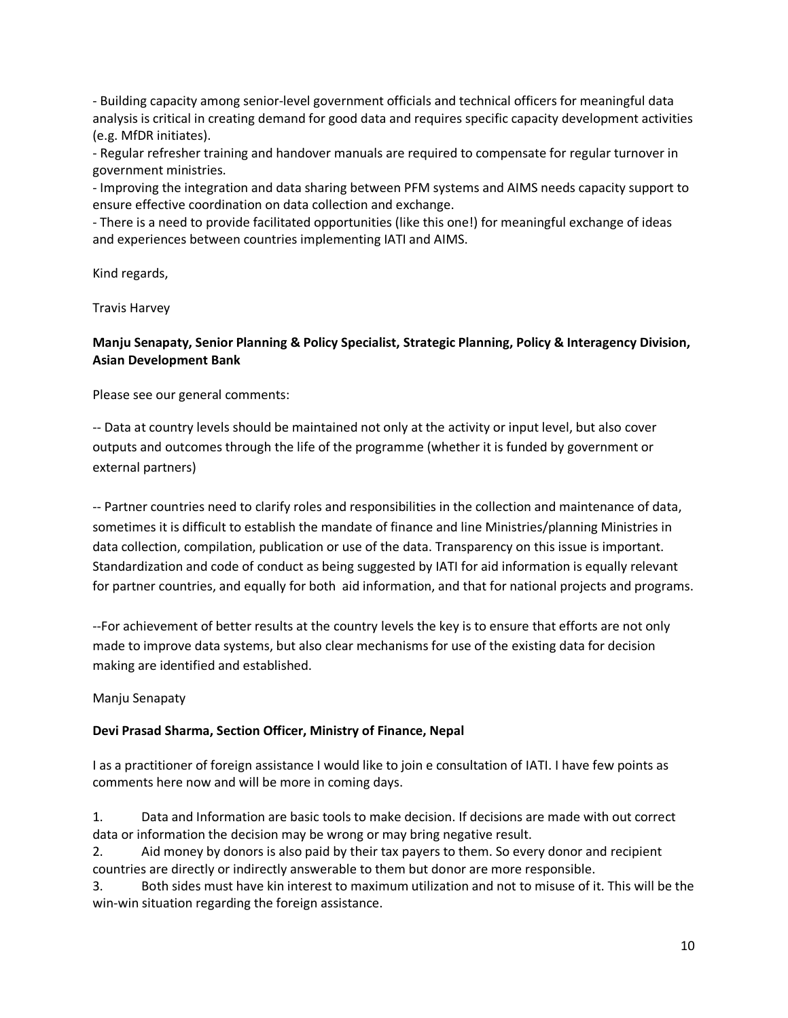- Building capacity among senior-level government officials and technical officers for meaningful data analysis is critical in creating demand for good data and requires specific capacity development activities (e.g. MfDR initiates).

- Regular refresher training and handover manuals are required to compensate for regular turnover in government ministries.

- Improving the integration and data sharing between PFM systems and AIMS needs capacity support to ensure effective coordination on data collection and exchange.

- There is a need to provide facilitated opportunities (like this one!) for meaningful exchange of ideas and experiences between countries implementing IATI and AIMS.

Kind regards,

Travis Harvey

## **Manju Senapaty, Senior Planning & Policy Specialist, Strategic Planning, Policy & Interagency Division, Asian Development Bank**

Please see our general comments:

-- Data at country levels should be maintained not only at the activity or input level, but also cover outputs and outcomes through the life of the programme (whether it is funded by government or external partners)

-- Partner countries need to clarify roles and responsibilities in the collection and maintenance of data, sometimes it is difficult to establish the mandate of finance and line Ministries/planning Ministries in data collection, compilation, publication or use of the data. Transparency on this issue is important. Standardization and code of conduct as being suggested by IATI for aid information is equally relevant for partner countries, and equally for both aid information, and that for national projects and programs.

--For achievement of better results at the country levels the key is to ensure that efforts are not only made to improve data systems, but also clear mechanisms for use of the existing data for decision making are identified and established.

### Manju Senapaty

### **Devi Prasad Sharma, Section Officer, Ministry of Finance, Nepal**

I as a practitioner of foreign assistance I would like to join e consultation of IATI. I have few points as comments here now and will be more in coming days.

1. Data and Information are basic tools to make decision. If decisions are made with out correct data or information the decision may be wrong or may bring negative result.

2. Aid money by donors is also paid by their tax payers to them. So every donor and recipient countries are directly or indirectly answerable to them but donor are more responsible.

3. Both sides must have kin interest to maximum utilization and not to misuse of it. This will be the win-win situation regarding the foreign assistance.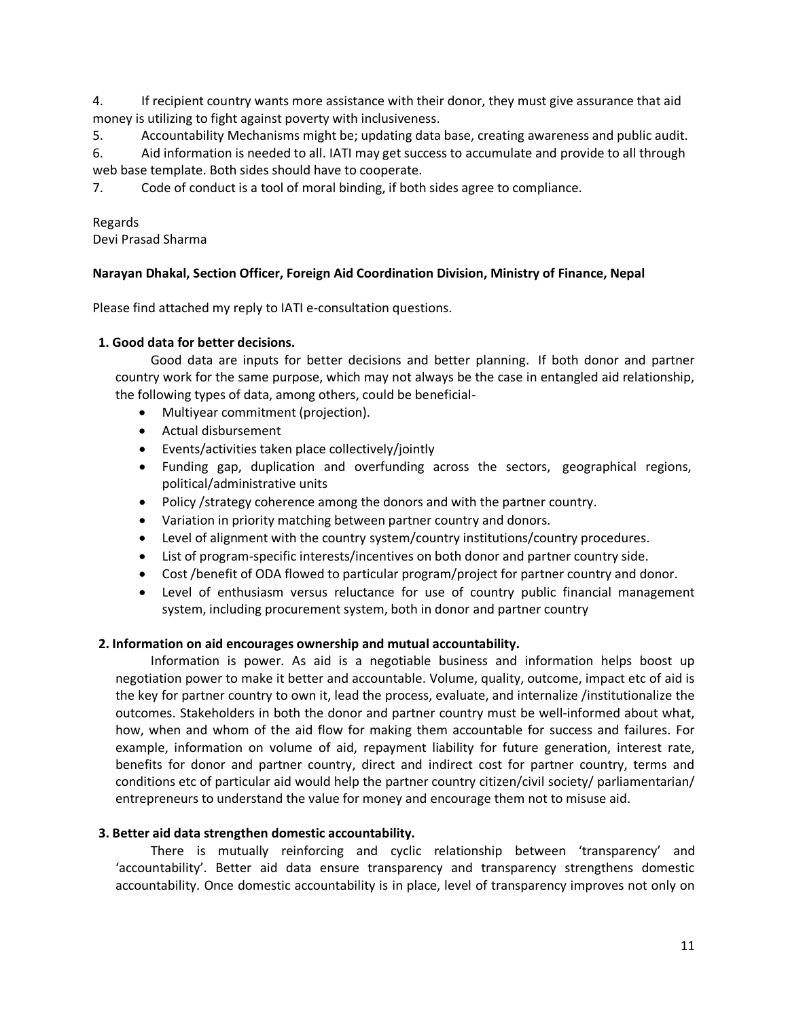4. If recipient country wants more assistance with their donor, they must give assurance that aid money is utilizing to fight against poverty with inclusiveness.

5. Accountability Mechanisms might be; updating data base, creating awareness and public audit.

6. Aid information is needed to all. IATI may get success to accumulate and provide to all through web base template. Both sides should have to cooperate.

7. Code of conduct is a tool of moral binding, if both sides agree to compliance.

## Regards

Devi Prasad Sharma

## **Narayan Dhakal, Section Officer, Foreign Aid Coordination Division, Ministry of Finance, Nepal**

Please find attached my reply to IATI e-consultation questions.

## **1. Good data for better decisions.**

Good data are inputs for better decisions and better planning. If both donor and partner country work for the same purpose, which may not always be the case in entangled aid relationship, the following types of data, among others, could be beneficial-

- Multiyear commitment (projection).
- Actual disbursement
- Events/activities taken place collectively/jointly
- Funding gap, duplication and overfunding across the sectors, geographical regions, political/administrative units
- Policy /strategy coherence among the donors and with the partner country.
- Variation in priority matching between partner country and donors.
- Level of alignment with the country system/country institutions/country procedures.
- List of program-specific interests/incentives on both donor and partner country side.
- Cost /benefit of ODA flowed to particular program/project for partner country and donor.
- Level of enthusiasm versus reluctance for use of country public financial management system, including procurement system, both in donor and partner country

### **2. Information on aid encourages ownership and mutual accountability.**

Information is power. As aid is a negotiable business and information helps boost up negotiation power to make it better and accountable. Volume, quality, outcome, impact etc of aid is the key for partner country to own it, lead the process, evaluate, and internalize /institutionalize the outcomes. Stakeholders in both the donor and partner country must be well-informed about what, how, when and whom of the aid flow for making them accountable for success and failures. For example, information on volume of aid, repayment liability for future generation, interest rate, benefits for donor and partner country, direct and indirect cost for partner country, terms and conditions etc of particular aid would help the partner country citizen/civil society/ parliamentarian/ entrepreneurs to understand the value for money and encourage them not to misuse aid.

### **3. Better aid data strengthen domestic accountability.**

There is mutually reinforcing and cyclic relationship between 'transparency' and 'accountability'. Better aid data ensure transparency and transparency strengthens domestic accountability. Once domestic accountability is in place, level of transparency improves not only on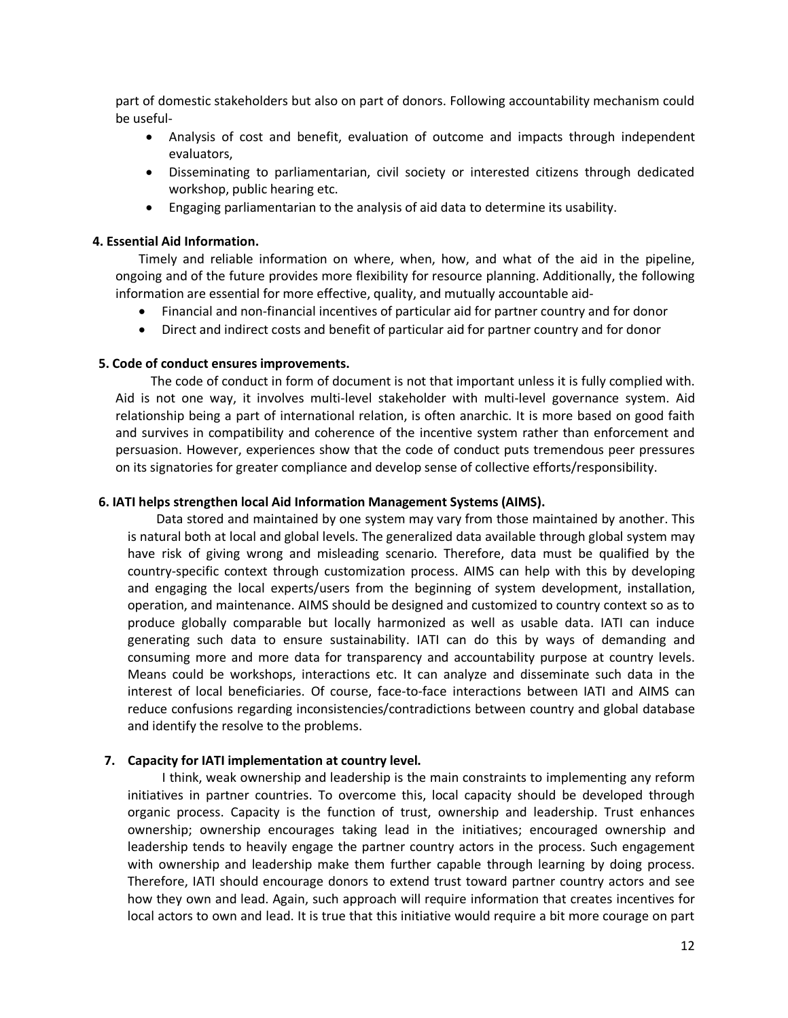part of domestic stakeholders but also on part of donors. Following accountability mechanism could be useful-

- Analysis of cost and benefit, evaluation of outcome and impacts through independent evaluators,
- Disseminating to parliamentarian, civil society or interested citizens through dedicated workshop, public hearing etc.
- Engaging parliamentarian to the analysis of aid data to determine its usability.

### **4. Essential Aid Information.**

Timely and reliable information on where, when, how, and what of the aid in the pipeline, ongoing and of the future provides more flexibility for resource planning. Additionally, the following information are essential for more effective, quality, and mutually accountable aid-

- Financial and non-financial incentives of particular aid for partner country and for donor
- Direct and indirect costs and benefit of particular aid for partner country and for donor

### **5. Code of conduct ensures improvements.**

The code of conduct in form of document is not that important unless it is fully complied with. Aid is not one way, it involves multi-level stakeholder with multi-level governance system. Aid relationship being a part of international relation, is often anarchic. It is more based on good faith and survives in compatibility and coherence of the incentive system rather than enforcement and persuasion. However, experiences show that the code of conduct puts tremendous peer pressures on its signatories for greater compliance and develop sense of collective efforts/responsibility.

### **6. IATI helps strengthen local Aid Information Management Systems (AIMS).**

Data stored and maintained by one system may vary from those maintained by another. This is natural both at local and global levels. The generalized data available through global system may have risk of giving wrong and misleading scenario. Therefore, data must be qualified by the country-specific context through customization process. AIMS can help with this by developing and engaging the local experts/users from the beginning of system development, installation, operation, and maintenance. AIMS should be designed and customized to country context so as to produce globally comparable but locally harmonized as well as usable data. IATI can induce generating such data to ensure sustainability. IATI can do this by ways of demanding and consuming more and more data for transparency and accountability purpose at country levels. Means could be workshops, interactions etc. It can analyze and disseminate such data in the interest of local beneficiaries. Of course, face-to-face interactions between IATI and AIMS can reduce confusions regarding inconsistencies/contradictions between country and global database and identify the resolve to the problems.

### **7. Capacity for IATI implementation at country level.**

I think, weak ownership and leadership is the main constraints to implementing any reform initiatives in partner countries. To overcome this, local capacity should be developed through organic process. Capacity is the function of trust, ownership and leadership. Trust enhances ownership; ownership encourages taking lead in the initiatives; encouraged ownership and leadership tends to heavily engage the partner country actors in the process. Such engagement with ownership and leadership make them further capable through learning by doing process. Therefore, IATI should encourage donors to extend trust toward partner country actors and see how they own and lead. Again, such approach will require information that creates incentives for local actors to own and lead. It is true that this initiative would require a bit more courage on part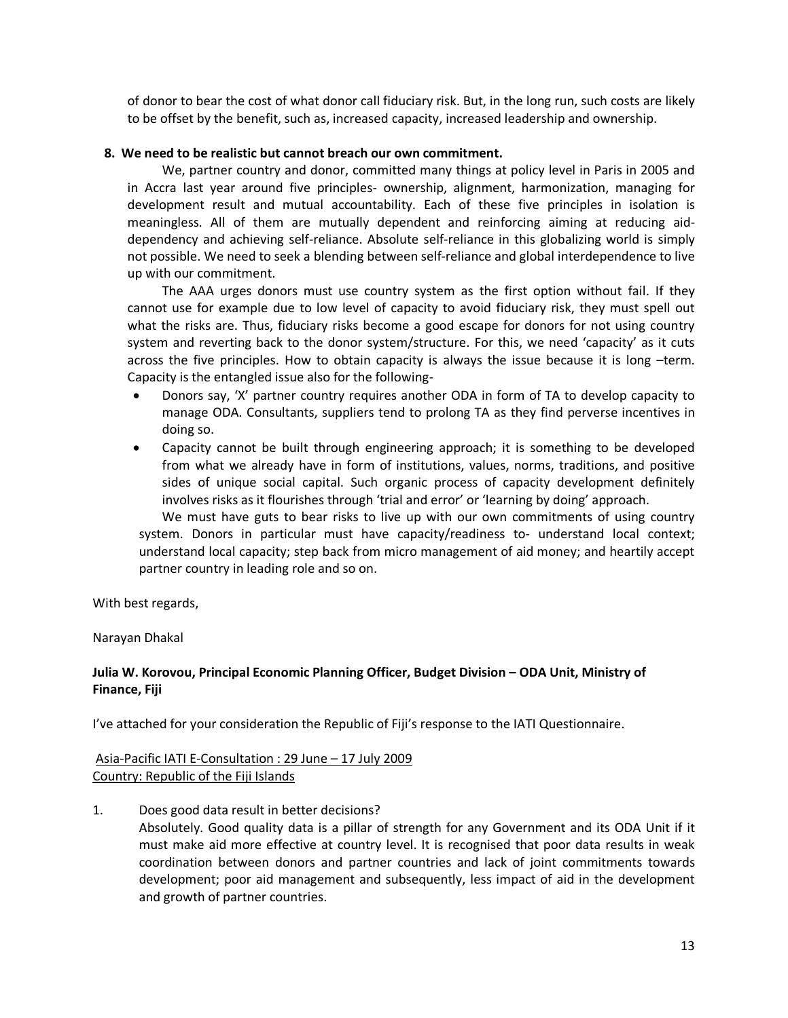of donor to bear the cost of what donor call fiduciary risk. But, in the long run, such costs are likely to be offset by the benefit, such as, increased capacity, increased leadership and ownership.

### **8. We need to be realistic but cannot breach our own commitment.**

We, partner country and donor, committed many things at policy level in Paris in 2005 and in Accra last year around five principles- ownership, alignment, harmonization, managing for development result and mutual accountability. Each of these five principles in isolation is meaningless. All of them are mutually dependent and reinforcing aiming at reducing aiddependency and achieving self-reliance. Absolute self-reliance in this globalizing world is simply not possible. We need to seek a blending between self-reliance and global interdependence to live up with our commitment.

The AAA urges donors must use country system as the first option without fail. If they cannot use for example due to low level of capacity to avoid fiduciary risk, they must spell out what the risks are. Thus, fiduciary risks become a good escape for donors for not using country system and reverting back to the donor system/structure. For this, we need 'capacity' as it cuts across the five principles. How to obtain capacity is always the issue because it is long –term. Capacity is the entangled issue also for the following-

- Donors say, 'X' partner country requires another ODA in form of TA to develop capacity to manage ODA. Consultants, suppliers tend to prolong TA as they find perverse incentives in doing so.
- Capacity cannot be built through engineering approach; it is something to be developed from what we already have in form of institutions, values, norms, traditions, and positive sides of unique social capital. Such organic process of capacity development definitely involves risks as it flourishes through 'trial and error' or 'learning by doing' approach.

We must have guts to bear risks to live up with our own commitments of using country system. Donors in particular must have capacity/readiness to- understand local context; understand local capacity; step back from micro management of aid money; and heartily accept partner country in leading role and so on.

With best regards,

Narayan Dhakal

## **Julia W. Korovou, Principal Economic Planning Officer, Budget Division – ODA Unit, Ministry of Finance, Fiji**

I've attached for your consideration the Republic of Fiji's response to the IATI Questionnaire.

Asia-Pacific IATI E-Consultation : 29 June – 17 July 2009 Country: Republic of the Fiji Islands

1. Does good data result in better decisions?

Absolutely. Good quality data is a pillar of strength for any Government and its ODA Unit if it must make aid more effective at country level. It is recognised that poor data results in weak coordination between donors and partner countries and lack of joint commitments towards development; poor aid management and subsequently, less impact of aid in the development and growth of partner countries.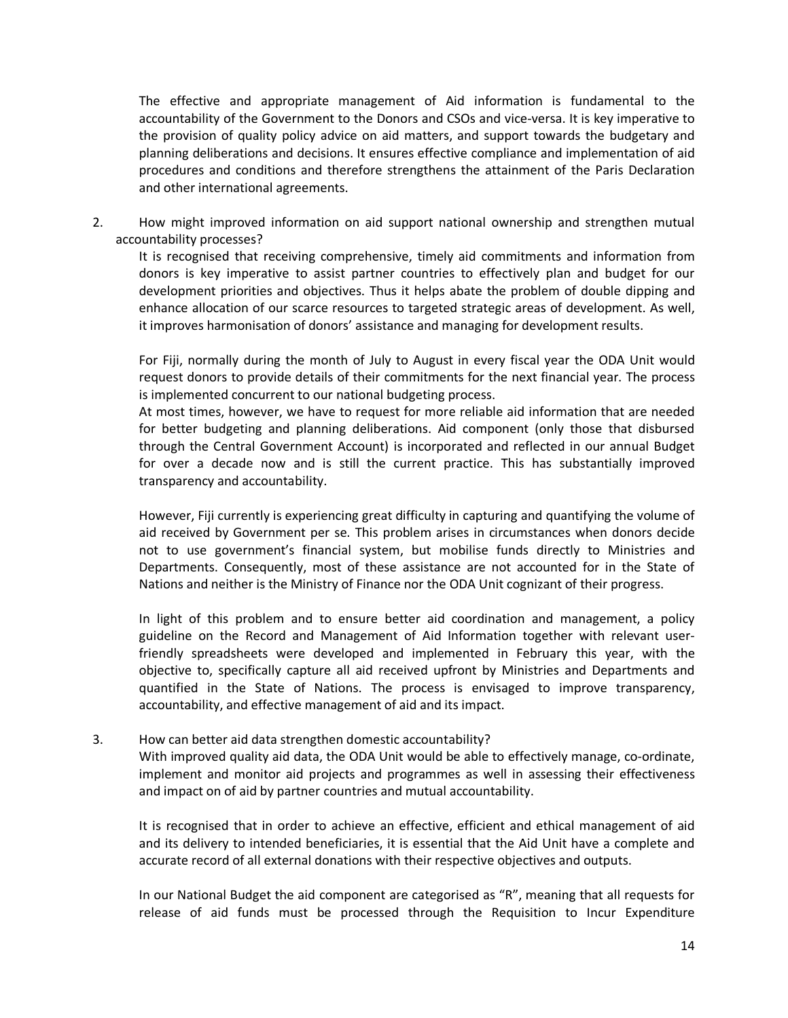The effective and appropriate management of Aid information is fundamental to the accountability of the Government to the Donors and CSOs and vice-versa. It is key imperative to the provision of quality policy advice on aid matters, and support towards the budgetary and planning deliberations and decisions. It ensures effective compliance and implementation of aid procedures and conditions and therefore strengthens the attainment of the Paris Declaration and other international agreements.

2. How might improved information on aid support national ownership and strengthen mutual accountability processes?

It is recognised that receiving comprehensive, timely aid commitments and information from donors is key imperative to assist partner countries to effectively plan and budget for our development priorities and objectives. Thus it helps abate the problem of double dipping and enhance allocation of our scarce resources to targeted strategic areas of development. As well, it improves harmonisation of donors' assistance and managing for development results.

For Fiji, normally during the month of July to August in every fiscal year the ODA Unit would request donors to provide details of their commitments for the next financial year. The process is implemented concurrent to our national budgeting process.

At most times, however, we have to request for more reliable aid information that are needed for better budgeting and planning deliberations. Aid component (only those that disbursed through the Central Government Account) is incorporated and reflected in our annual Budget for over a decade now and is still the current practice. This has substantially improved transparency and accountability.

However, Fiji currently is experiencing great difficulty in capturing and quantifying the volume of aid received by Government per se. This problem arises in circumstances when donors decide not to use government's financial system, but mobilise funds directly to Ministries and Departments. Consequently, most of these assistance are not accounted for in the State of Nations and neither is the Ministry of Finance nor the ODA Unit cognizant of their progress.

In light of this problem and to ensure better aid coordination and management, a policy guideline on the Record and Management of Aid Information together with relevant userfriendly spreadsheets were developed and implemented in February this year, with the objective to, specifically capture all aid received upfront by Ministries and Departments and quantified in the State of Nations. The process is envisaged to improve transparency, accountability, and effective management of aid and its impact.

3. How can better aid data strengthen domestic accountability?

With improved quality aid data, the ODA Unit would be able to effectively manage, co-ordinate, implement and monitor aid projects and programmes as well in assessing their effectiveness and impact on of aid by partner countries and mutual accountability.

It is recognised that in order to achieve an effective, efficient and ethical management of aid and its delivery to intended beneficiaries, it is essential that the Aid Unit have a complete and accurate record of all external donations with their respective objectives and outputs.

In our National Budget the aid component are categorised as "R", meaning that all requests for release of aid funds must be processed through the Requisition to Incur Expenditure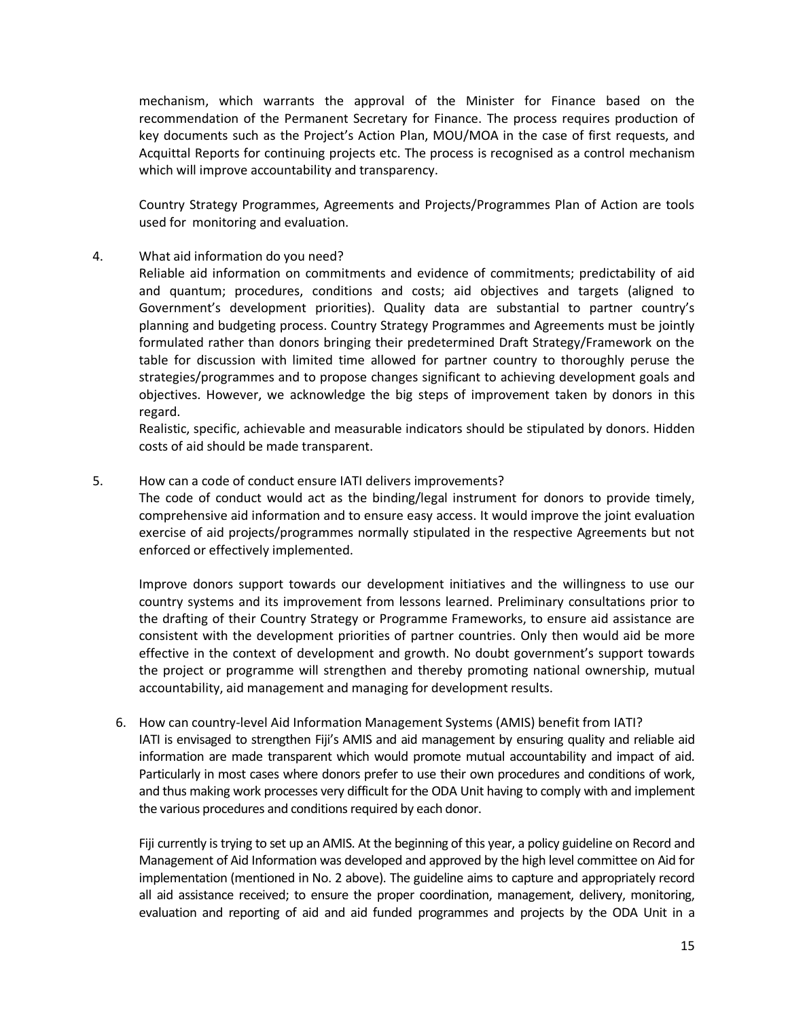mechanism, which warrants the approval of the Minister for Finance based on the recommendation of the Permanent Secretary for Finance. The process requires production of key documents such as the Project's Action Plan, MOU/MOA in the case of first requests, and Acquittal Reports for continuing projects etc. The process is recognised as a control mechanism which will improve accountability and transparency.

Country Strategy Programmes, Agreements and Projects/Programmes Plan of Action are tools used for monitoring and evaluation.

### 4. What aid information do you need?

Reliable aid information on commitments and evidence of commitments; predictability of aid and quantum; procedures, conditions and costs; aid objectives and targets (aligned to Government's development priorities). Quality data are substantial to partner country's planning and budgeting process. Country Strategy Programmes and Agreements must be jointly formulated rather than donors bringing their predetermined Draft Strategy/Framework on the table for discussion with limited time allowed for partner country to thoroughly peruse the strategies/programmes and to propose changes significant to achieving development goals and objectives. However, we acknowledge the big steps of improvement taken by donors in this regard.

Realistic, specific, achievable and measurable indicators should be stipulated by donors. Hidden costs of aid should be made transparent.

#### 5. How can a code of conduct ensure IATI delivers improvements?

The code of conduct would act as the binding/legal instrument for donors to provide timely, comprehensive aid information and to ensure easy access. It would improve the joint evaluation exercise of aid projects/programmes normally stipulated in the respective Agreements but not enforced or effectively implemented.

Improve donors support towards our development initiatives and the willingness to use our country systems and its improvement from lessons learned. Preliminary consultations prior to the drafting of their Country Strategy or Programme Frameworks, to ensure aid assistance are consistent with the development priorities of partner countries. Only then would aid be more effective in the context of development and growth. No doubt government's support towards the project or programme will strengthen and thereby promoting national ownership, mutual accountability, aid management and managing for development results.

6. How can country-level Aid Information Management Systems (AMIS) benefit from IATI? IATI is envisaged to strengthen Fiji's AMIS and aid management by ensuring quality and reliable aid information are made transparent which would promote mutual accountability and impact of aid. Particularly in most cases where donors prefer to use their own procedures and conditions of work, and thus making work processes very difficult for the ODA Unit having to comply with and implement the various procedures and conditions required by each donor.

Fiji currently is trying to set up an AMIS. At the beginning of this year, a policy guideline on Record and Management of Aid Information was developed and approved by the high level committee on Aid for implementation (mentioned in No. 2 above). The guideline aims to capture and appropriately record all aid assistance received; to ensure the proper coordination, management, delivery, monitoring, evaluation and reporting of aid and aid funded programmes and projects by the ODA Unit in a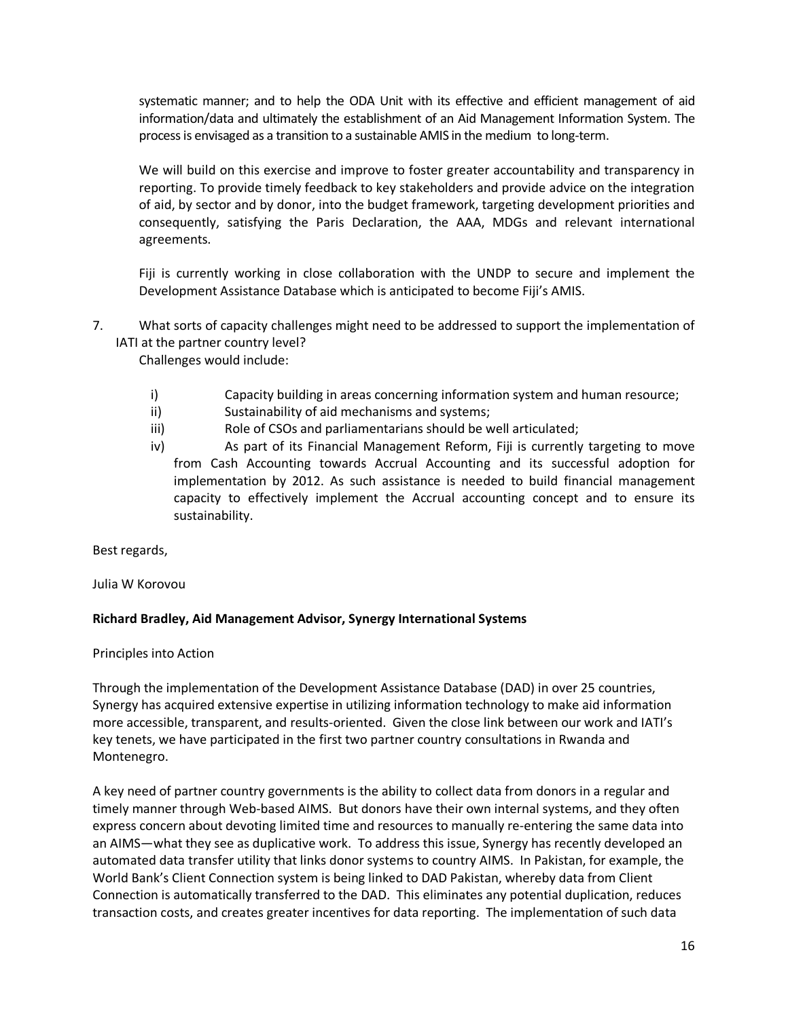systematic manner; and to help the ODA Unit with its effective and efficient management of aid information/data and ultimately the establishment of an Aid Management Information System. The process is envisaged as a transition to a sustainable AMIS in the medium to long-term.

We will build on this exercise and improve to foster greater accountability and transparency in reporting. To provide timely feedback to key stakeholders and provide advice on the integration of aid, by sector and by donor, into the budget framework, targeting development priorities and consequently, satisfying the Paris Declaration, the AAA, MDGs and relevant international agreements.

Fiji is currently working in close collaboration with the UNDP to secure and implement the Development Assistance Database which is anticipated to become Fiji's AMIS.

7. What sorts of capacity challenges might need to be addressed to support the implementation of IATI at the partner country level?

Challenges would include:

- i) Capacity building in areas concerning information system and human resource;
- ii) Sustainability of aid mechanisms and systems;
- iii) Role of CSOs and parliamentarians should be well articulated;
- iv) As part of its Financial Management Reform, Fiji is currently targeting to move from Cash Accounting towards Accrual Accounting and its successful adoption for implementation by 2012. As such assistance is needed to build financial management capacity to effectively implement the Accrual accounting concept and to ensure its sustainability.

Best regards,

Julia W Korovou

### **Richard Bradley, Aid Management Advisor, Synergy International Systems**

Principles into Action

Through the implementation of the Development Assistance Database (DAD) in over 25 countries, Synergy has acquired extensive expertise in utilizing information technology to make aid information more accessible, transparent, and results-oriented. Given the close link between our work and IATI's key tenets, we have participated in the first two partner country consultations in Rwanda and Montenegro.

A key need of partner country governments is the ability to collect data from donors in a regular and timely manner through Web-based AIMS. But donors have their own internal systems, and they often express concern about devoting limited time and resources to manually re-entering the same data into an AIMS—what they see as duplicative work. To address this issue, Synergy has recently developed an automated data transfer utility that links donor systems to country AIMS. In Pakistan, for example, the World Bank's Client Connection system is being linked to DAD Pakistan, whereby data from Client Connection is automatically transferred to the DAD. This eliminates any potential duplication, reduces transaction costs, and creates greater incentives for data reporting. The implementation of such data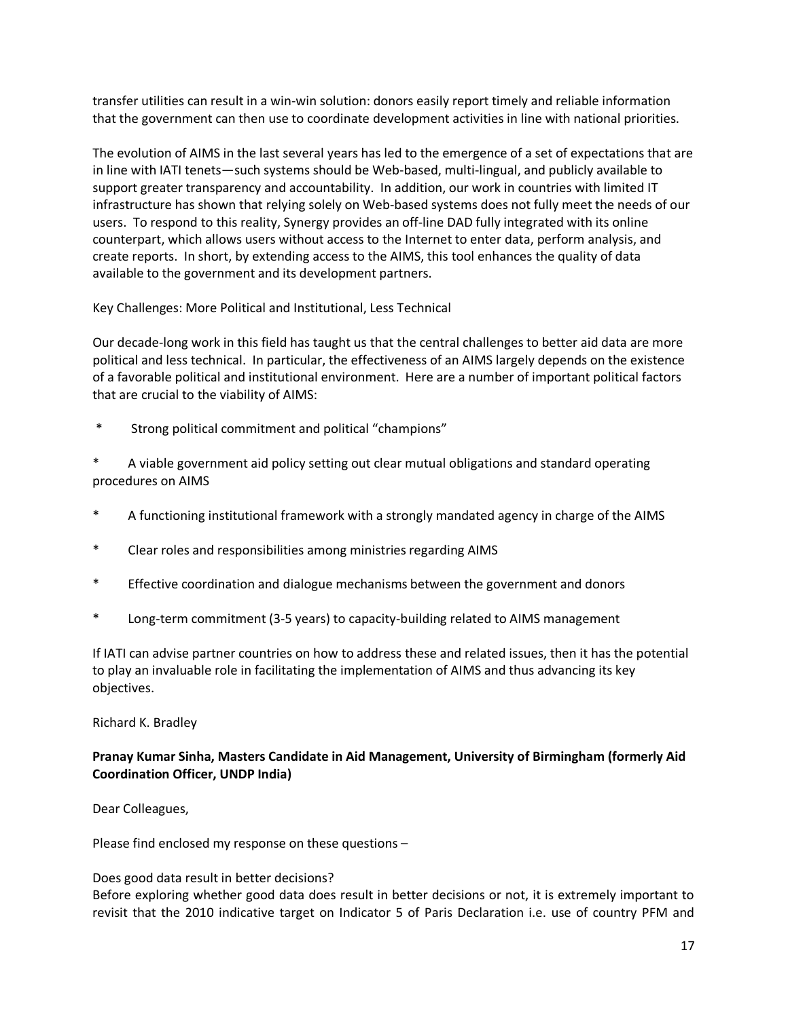transfer utilities can result in a win-win solution: donors easily report timely and reliable information that the government can then use to coordinate development activities in line with national priorities.

The evolution of AIMS in the last several years has led to the emergence of a set of expectations that are in line with IATI tenets—such systems should be Web-based, multi-lingual, and publicly available to support greater transparency and accountability. In addition, our work in countries with limited IT infrastructure has shown that relying solely on Web-based systems does not fully meet the needs of our users. To respond to this reality, Synergy provides an off-line DAD fully integrated with its online counterpart, which allows users without access to the Internet to enter data, perform analysis, and create reports. In short, by extending access to the AIMS, this tool enhances the quality of data available to the government and its development partners.

Key Challenges: More Political and Institutional, Less Technical

Our decade-long work in this field has taught us that the central challenges to better aid data are more political and less technical. In particular, the effectiveness of an AIMS largely depends on the existence of a favorable political and institutional environment. Here are a number of important political factors that are crucial to the viability of AIMS:

Strong political commitment and political "champions"

A viable government aid policy setting out clear mutual obligations and standard operating procedures on AIMS

- A functioning institutional framework with a strongly mandated agency in charge of the AIMS
- \* Clear roles and responsibilities among ministries regarding AIMS
- \* Effective coordination and dialogue mechanisms between the government and donors
- \* Long-term commitment (3-5 years) to capacity-building related to AIMS management

If IATI can advise partner countries on how to address these and related issues, then it has the potential to play an invaluable role in facilitating the implementation of AIMS and thus advancing its key objectives.

### Richard K. Bradley

## **Pranay Kumar Sinha, Masters Candidate in Aid Management, University of Birmingham (formerly Aid Coordination Officer, UNDP India)**

Dear Colleagues,

Please find enclosed my response on these questions –

### Does good data result in better decisions?

Before exploring whether good data does result in better decisions or not, it is extremely important to revisit that the 2010 indicative target on Indicator 5 of Paris Declaration i.e. use of country PFM and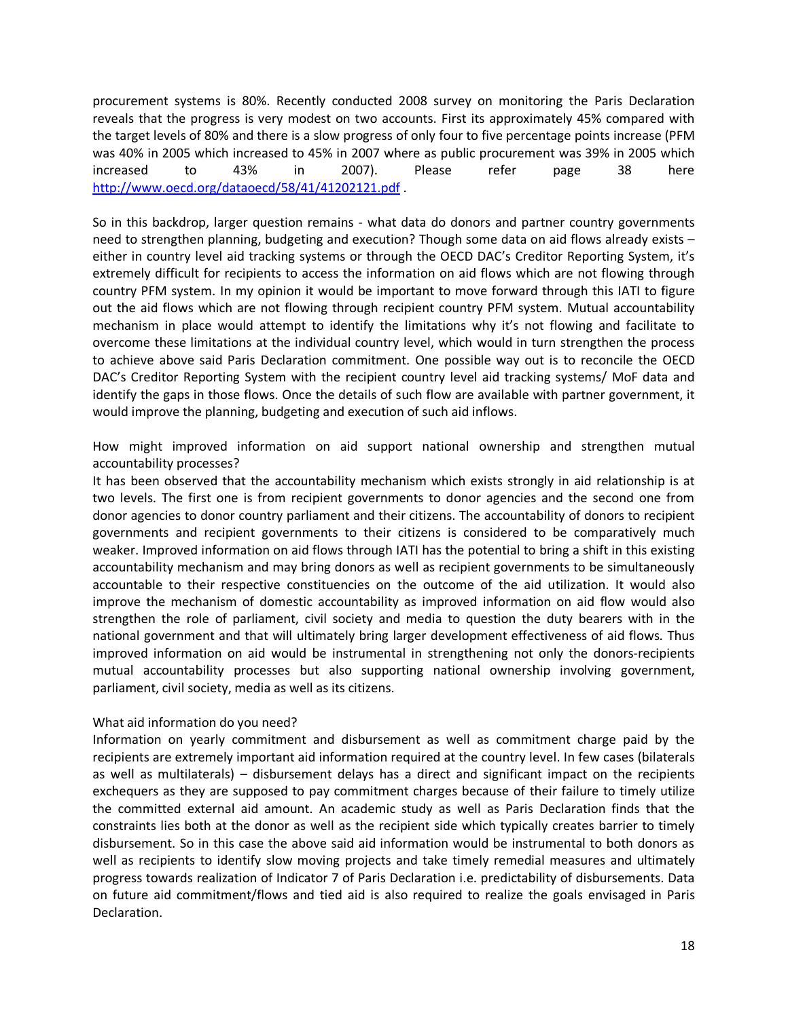procurement systems is 80%. Recently conducted 2008 survey on monitoring the Paris Declaration reveals that the progress is very modest on two accounts. First its approximately 45% compared with the target levels of 80% and there is a slow progress of only four to five percentage points increase (PFM was 40% in 2005 which increased to 45% in 2007 where as public procurement was 39% in 2005 which increased to 43% in 2007). Please refer page 38 here <http://www.oecd.org/dataoecd/58/41/41202121.pdf> .

So in this backdrop, larger question remains - what data do donors and partner country governments need to strengthen planning, budgeting and execution? Though some data on aid flows already exists – either in country level aid tracking systems or through the OECD DAC's Creditor Reporting System, it's extremely difficult for recipients to access the information on aid flows which are not flowing through country PFM system. In my opinion it would be important to move forward through this IATI to figure out the aid flows which are not flowing through recipient country PFM system. Mutual accountability mechanism in place would attempt to identify the limitations why it's not flowing and facilitate to overcome these limitations at the individual country level, which would in turn strengthen the process to achieve above said Paris Declaration commitment. One possible way out is to reconcile the OECD DAC's Creditor Reporting System with the recipient country level aid tracking systems/ MoF data and identify the gaps in those flows. Once the details of such flow are available with partner government, it would improve the planning, budgeting and execution of such aid inflows.

How might improved information on aid support national ownership and strengthen mutual accountability processes?

It has been observed that the accountability mechanism which exists strongly in aid relationship is at two levels. The first one is from recipient governments to donor agencies and the second one from donor agencies to donor country parliament and their citizens. The accountability of donors to recipient governments and recipient governments to their citizens is considered to be comparatively much weaker. Improved information on aid flows through IATI has the potential to bring a shift in this existing accountability mechanism and may bring donors as well as recipient governments to be simultaneously accountable to their respective constituencies on the outcome of the aid utilization. It would also improve the mechanism of domestic accountability as improved information on aid flow would also strengthen the role of parliament, civil society and media to question the duty bearers with in the national government and that will ultimately bring larger development effectiveness of aid flows. Thus improved information on aid would be instrumental in strengthening not only the donors-recipients mutual accountability processes but also supporting national ownership involving government, parliament, civil society, media as well as its citizens.

### What aid information do you need?

Information on yearly commitment and disbursement as well as commitment charge paid by the recipients are extremely important aid information required at the country level. In few cases (bilaterals as well as multilaterals) – disbursement delays has a direct and significant impact on the recipients exchequers as they are supposed to pay commitment charges because of their failure to timely utilize the committed external aid amount. An academic study as well as Paris Declaration finds that the constraints lies both at the donor as well as the recipient side which typically creates barrier to timely disbursement. So in this case the above said aid information would be instrumental to both donors as well as recipients to identify slow moving projects and take timely remedial measures and ultimately progress towards realization of Indicator 7 of Paris Declaration i.e. predictability of disbursements. Data on future aid commitment/flows and tied aid is also required to realize the goals envisaged in Paris Declaration.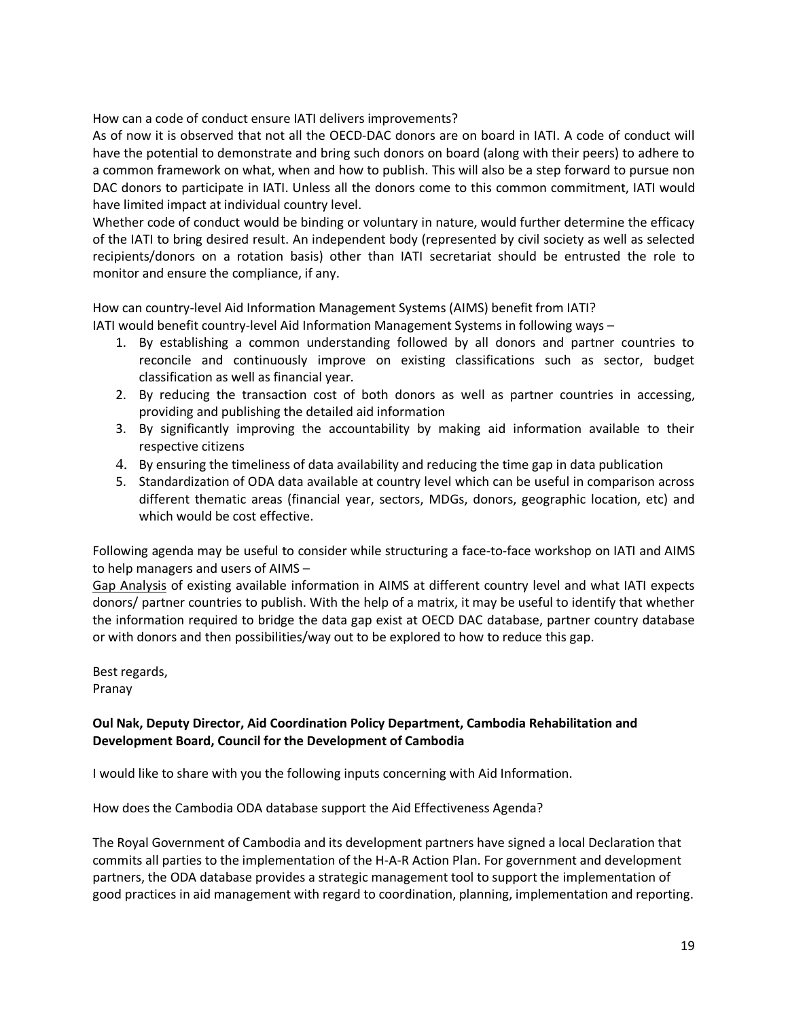How can a code of conduct ensure IATI delivers improvements?

As of now it is observed that not all the OECD-DAC donors are on board in IATI. A code of conduct will have the potential to demonstrate and bring such donors on board (along with their peers) to adhere to a common framework on what, when and how to publish. This will also be a step forward to pursue non DAC donors to participate in IATI. Unless all the donors come to this common commitment, IATI would have limited impact at individual country level.

Whether code of conduct would be binding or voluntary in nature, would further determine the efficacy of the IATI to bring desired result. An independent body (represented by civil society as well as selected recipients/donors on a rotation basis) other than IATI secretariat should be entrusted the role to monitor and ensure the compliance, if any.

How can country-level Aid Information Management Systems (AIMS) benefit from IATI?

IATI would benefit country-level Aid Information Management Systems in following ways –

- 1. By establishing a common understanding followed by all donors and partner countries to reconcile and continuously improve on existing classifications such as sector, budget classification as well as financial year.
- 2. By reducing the transaction cost of both donors as well as partner countries in accessing, providing and publishing the detailed aid information
- 3. By significantly improving the accountability by making aid information available to their respective citizens
- 4. By ensuring the timeliness of data availability and reducing the time gap in data publication
- 5. Standardization of ODA data available at country level which can be useful in comparison across different thematic areas (financial year, sectors, MDGs, donors, geographic location, etc) and which would be cost effective.

Following agenda may be useful to consider while structuring a face-to-face workshop on IATI and AIMS to help managers and users of AIMS –

Gap Analysis of existing available information in AIMS at different country level and what IATI expects donors/ partner countries to publish. With the help of a matrix, it may be useful to identify that whether the information required to bridge the data gap exist at OECD DAC database, partner country database or with donors and then possibilities/way out to be explored to how to reduce this gap.

Best regards, Pranay

# **Oul Nak, Deputy Director, Aid Coordination Policy Department, Cambodia Rehabilitation and Development Board, Council for the Development of Cambodia**

I would like to share with you the following inputs concerning with Aid Information.

How does the Cambodia ODA database support the Aid Effectiveness Agenda?

The Royal Government of Cambodia and its development partners have signed a local Declaration that commits all parties to the implementation of the H-A-R Action Plan. For government and development partners, the ODA database provides a strategic management tool to support the implementation of good practices in aid management with regard to coordination, planning, implementation and reporting.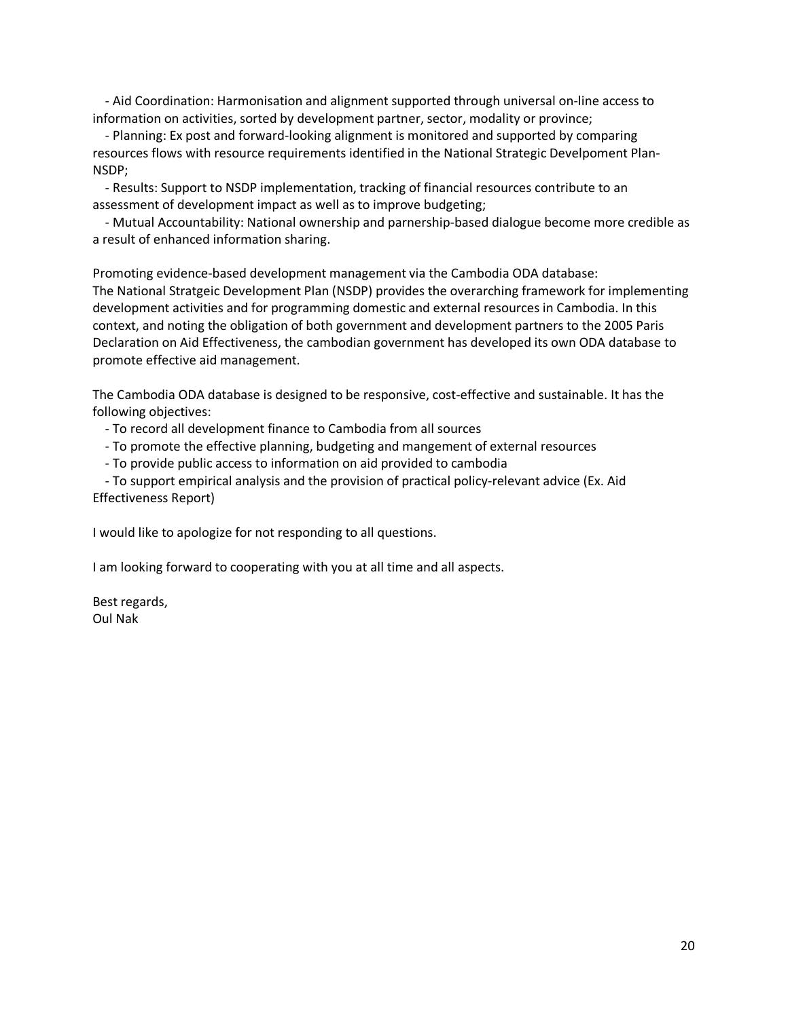- Aid Coordination: Harmonisation and alignment supported through universal on-line access to information on activities, sorted by development partner, sector, modality or province;

 - Planning: Ex post and forward-looking alignment is monitored and supported by comparing resources flows with resource requirements identified in the National Strategic Develpoment Plan-NSDP;

 - Results: Support to NSDP implementation, tracking of financial resources contribute to an assessment of development impact as well as to improve budgeting;

 - Mutual Accountability: National ownership and parnership-based dialogue become more credible as a result of enhanced information sharing.

Promoting evidence-based development management via the Cambodia ODA database: The National Stratgeic Development Plan (NSDP) provides the overarching framework for implementing development activities and for programming domestic and external resources in Cambodia. In this context, and noting the obligation of both government and development partners to the 2005 Paris Declaration on Aid Effectiveness, the cambodian government has developed its own ODA database to promote effective aid management.

The Cambodia ODA database is designed to be responsive, cost-effective and sustainable. It has the following objectives:

- To record all development finance to Cambodia from all sources

- To promote the effective planning, budgeting and mangement of external resources

- To provide public access to information on aid provided to cambodia

 - To support empirical analysis and the provision of practical policy-relevant advice (Ex. Aid Effectiveness Report)

I would like to apologize for not responding to all questions.

I am looking forward to cooperating with you at all time and all aspects.

Best regards, Oul Nak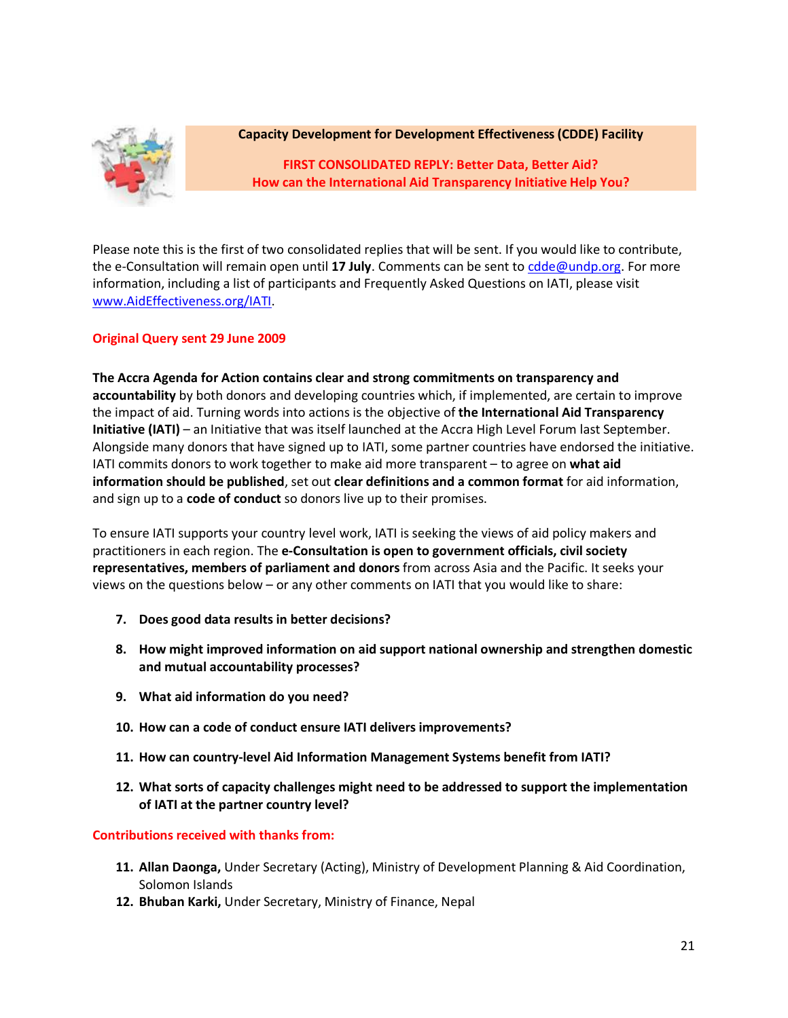

## **Capacity Development for Development Effectiveness (CDDE) Facility**

**FIRST CONSOLIDATED REPLY: Better Data, Better Aid? How can the International Aid Transparency Initiative Help You?**

Please note this is the first of two consolidated replies that will be sent. If you would like to contribute, the e-Consultation will remain open until **17 July**. Comments can be sent to [cdde@undp.org.](mailto:cdde@undp.org) For more information, including a list of participants and Frequently Asked Questions on IATI, please visit [www.AidEffectiveness.org/IATI.](http://www.aideffectiveness.org/IATI)

## **Original Query sent 29 June 2009**

**The Accra Agenda for Action contains clear and strong commitments on transparency and accountability** by both donors and developing countries which, if implemented, are certain to improve the impact of aid. Turning words into actions is the objective of **the International Aid Transparency Initiative (IATI)** – an Initiative that was itself launched at the Accra High Level Forum last September. Alongside many donors that have signed up to IATI, some partner countries have endorsed the initiative. IATI commits donors to work together to make aid more transparent – to agree on **what aid information should be published**, set out **clear definitions and a common format** for aid information, and sign up to a **code of conduct** so donors live up to their promises.

To ensure IATI supports your country level work, IATI is seeking the views of aid policy makers and practitioners in each region. The **e-Consultation is open to government officials, civil society representatives, members of parliament and donors** from across Asia and the Pacific. It seeks your views on the questions below – or any other comments on IATI that you would like to share:

- **7. Does good data results in better decisions?**
- **8. How might improved information on aid support national ownership and strengthen domestic and mutual accountability processes?**
- **9. What aid information do you need?**
- **10. How can a code of conduct ensure IATI delivers improvements?**
- **11. How can country-level Aid Information Management Systems benefit from IATI?**
- **12. What sorts of capacity challenges might need to be addressed to support the implementation of IATI at the partner country level?**

**Contributions received with thanks from:**

- **11. Allan Daonga,** Under Secretary (Acting), Ministry of Development Planning & Aid Coordination, Solomon Islands
- **12. Bhuban Karki,** Under Secretary, Ministry of Finance, Nepal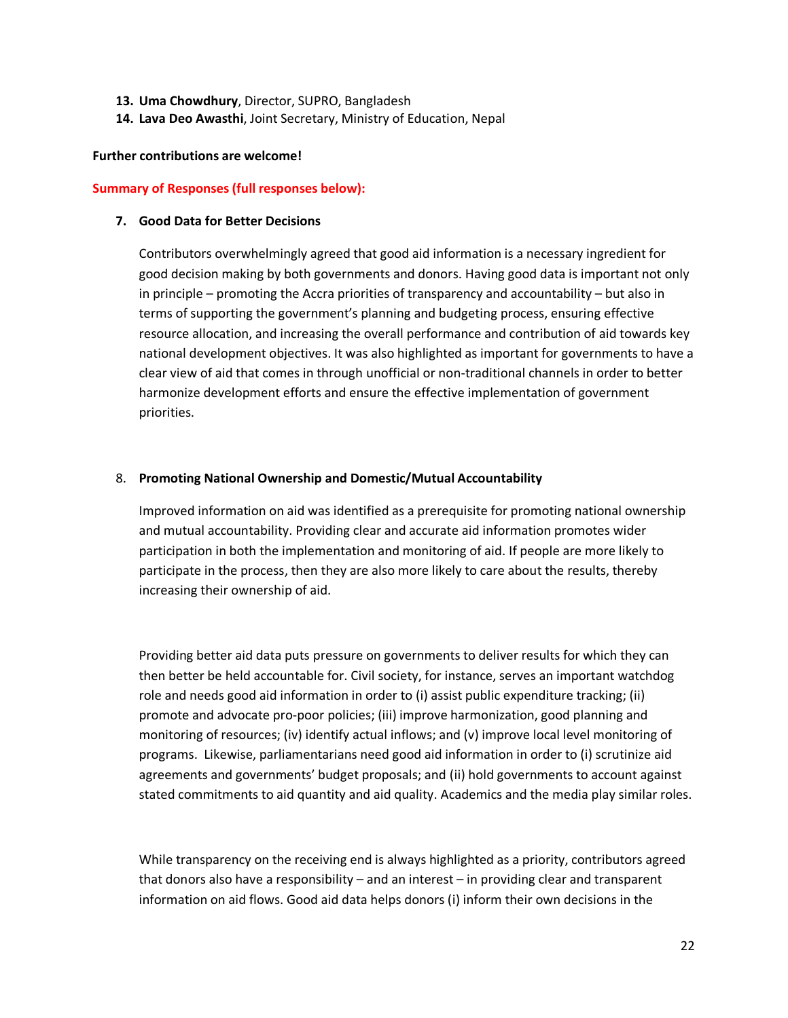- **13. Uma Chowdhury**, Director, SUPRO, Bangladesh
- **14. Lava Deo Awasthi**, Joint Secretary, Ministry of Education, Nepal

#### **Further contributions are welcome!**

#### **Summary of Responses (full responses below):**

#### **7. Good Data for Better Decisions**

Contributors overwhelmingly agreed that good aid information is a necessary ingredient for good decision making by both governments and donors. Having good data is important not only in principle – promoting the Accra priorities of transparency and accountability – but also in terms of supporting the government's planning and budgeting process, ensuring effective resource allocation, and increasing the overall performance and contribution of aid towards key national development objectives. It was also highlighted as important for governments to have a clear view of aid that comes in through unofficial or non-traditional channels in order to better harmonize development efforts and ensure the effective implementation of government priorities.

### 8. **Promoting National Ownership and Domestic/Mutual Accountability**

Improved information on aid was identified as a prerequisite for promoting national ownership and mutual accountability. Providing clear and accurate aid information promotes wider participation in both the implementation and monitoring of aid. If people are more likely to participate in the process, then they are also more likely to care about the results, thereby increasing their ownership of aid.

Providing better aid data puts pressure on governments to deliver results for which they can then better be held accountable for. Civil society, for instance, serves an important watchdog role and needs good aid information in order to (i) assist public expenditure tracking; (ii) promote and advocate pro-poor policies; (iii) improve harmonization, good planning and monitoring of resources; (iv) identify actual inflows; and (v) improve local level monitoring of programs. Likewise, parliamentarians need good aid information in order to (i) scrutinize aid agreements and governments' budget proposals; and (ii) hold governments to account against stated commitments to aid quantity and aid quality. Academics and the media play similar roles.

While transparency on the receiving end is always highlighted as a priority, contributors agreed that donors also have a responsibility – and an interest – in providing clear and transparent information on aid flows. Good aid data helps donors (i) inform their own decisions in the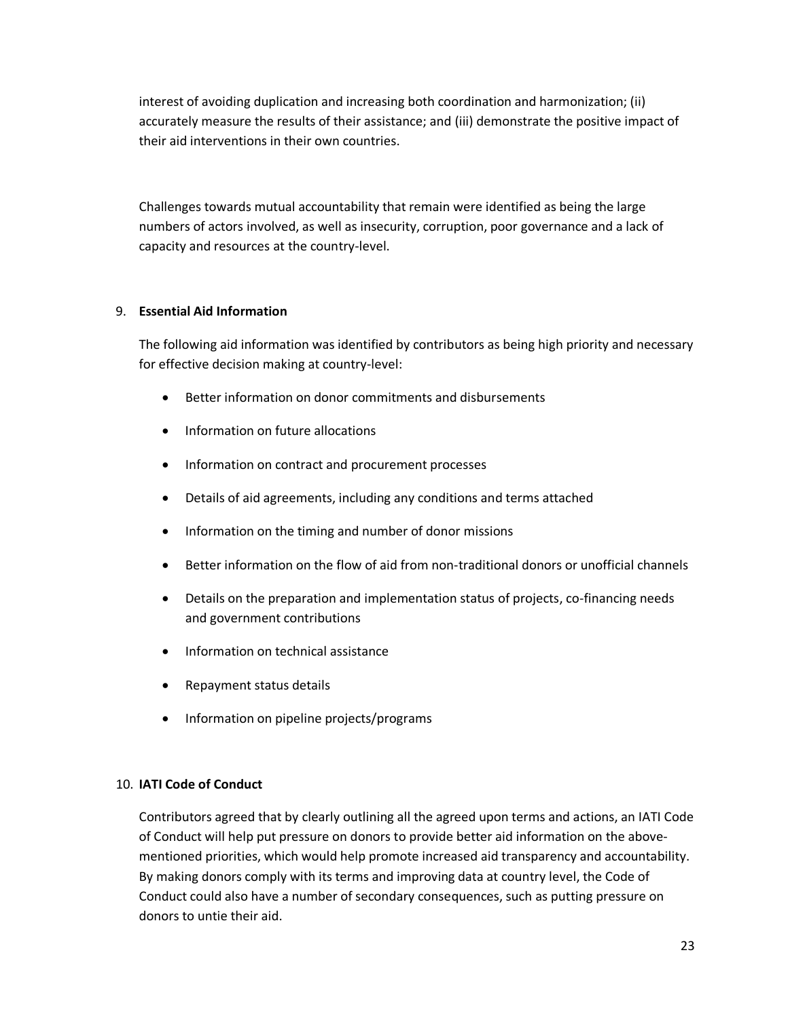interest of avoiding duplication and increasing both coordination and harmonization; (ii) accurately measure the results of their assistance; and (iii) demonstrate the positive impact of their aid interventions in their own countries.

Challenges towards mutual accountability that remain were identified as being the large numbers of actors involved, as well as insecurity, corruption, poor governance and a lack of capacity and resources at the country-level.

## 9. **Essential Aid Information**

The following aid information was identified by contributors as being high priority and necessary for effective decision making at country-level:

- Better information on donor commitments and disbursements
- Information on future allocations
- Information on contract and procurement processes
- Details of aid agreements, including any conditions and terms attached
- Information on the timing and number of donor missions
- Better information on the flow of aid from non-traditional donors or unofficial channels
- Details on the preparation and implementation status of projects, co-financing needs and government contributions
- Information on technical assistance
- Repayment status details
- Information on pipeline projects/programs

### 10. **IATI Code of Conduct**

Contributors agreed that by clearly outlining all the agreed upon terms and actions, an IATI Code of Conduct will help put pressure on donors to provide better aid information on the abovementioned priorities, which would help promote increased aid transparency and accountability. By making donors comply with its terms and improving data at country level, the Code of Conduct could also have a number of secondary consequences, such as putting pressure on donors to untie their aid.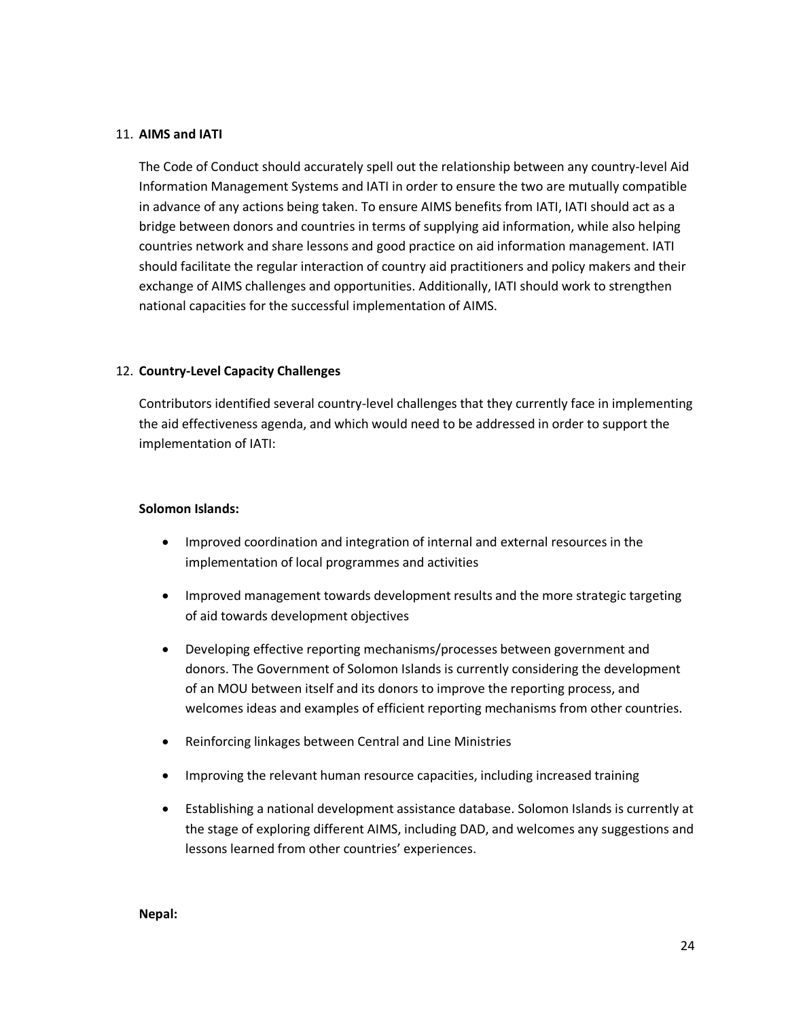### 11. **AIMS and IATI**

The Code of Conduct should accurately spell out the relationship between any country-level Aid Information Management Systems and IATI in order to ensure the two are mutually compatible in advance of any actions being taken. To ensure AIMS benefits from IATI, IATI should act as a bridge between donors and countries in terms of supplying aid information, while also helping countries network and share lessons and good practice on aid information management. IATI should facilitate the regular interaction of country aid practitioners and policy makers and their exchange of AIMS challenges and opportunities. Additionally, IATI should work to strengthen national capacities for the successful implementation of AIMS.

### 12. **Country-Level Capacity Challenges**

Contributors identified several country-level challenges that they currently face in implementing the aid effectiveness agenda, and which would need to be addressed in order to support the implementation of IATI:

#### **Solomon Islands:**

- Improved coordination and integration of internal and external resources in the implementation of local programmes and activities
- Improved management towards development results and the more strategic targeting of aid towards development objectives
- Developing effective reporting mechanisms/processes between government and donors. The Government of Solomon Islands is currently considering the development of an MOU between itself and its donors to improve the reporting process, and welcomes ideas and examples of efficient reporting mechanisms from other countries.
- Reinforcing linkages between Central and Line Ministries
- Improving the relevant human resource capacities, including increased training
- Establishing a national development assistance database. Solomon Islands is currently at the stage of exploring different AIMS, including DAD, and welcomes any suggestions and lessons learned from other countries' experiences.

#### **Nepal:**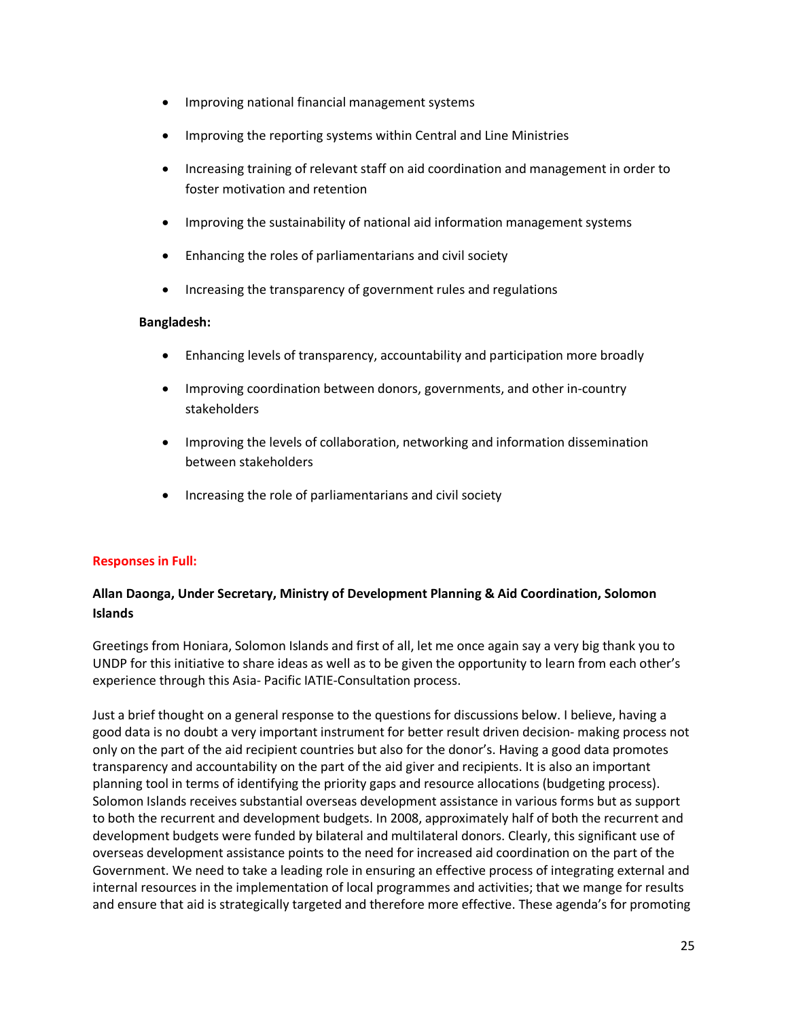- Improving national financial management systems
- Improving the reporting systems within Central and Line Ministries
- Increasing training of relevant staff on aid coordination and management in order to foster motivation and retention
- Improving the sustainability of national aid information management systems
- Enhancing the roles of parliamentarians and civil society
- Increasing the transparency of government rules and regulations

### **Bangladesh:**

- Enhancing levels of transparency, accountability and participation more broadly
- Improving coordination between donors, governments, and other in-country stakeholders
- Improving the levels of collaboration, networking and information dissemination between stakeholders
- Increasing the role of parliamentarians and civil society

### **Responses in Full:**

# **Allan Daonga, Under Secretary, Ministry of Development Planning & Aid Coordination, Solomon Islands**

Greetings from Honiara, Solomon Islands and first of all, let me once again say a very big thank you to UNDP for this initiative to share ideas as well as to be given the opportunity to learn from each other's experience through this Asia- Pacific IATIE-Consultation process.

Just a brief thought on a general response to the questions for discussions below. I believe, having a good data is no doubt a very important instrument for better result driven decision- making process not only on the part of the aid recipient countries but also for the donor's. Having a good data promotes transparency and accountability on the part of the aid giver and recipients. It is also an important planning tool in terms of identifying the priority gaps and resource allocations (budgeting process). Solomon Islands receives substantial overseas development assistance in various forms but as support to both the recurrent and development budgets. In 2008, approximately half of both the recurrent and development budgets were funded by bilateral and multilateral donors. Clearly, this significant use of overseas development assistance points to the need for increased aid coordination on the part of the Government. We need to take a leading role in ensuring an effective process of integrating external and internal resources in the implementation of local programmes and activities; that we mange for results and ensure that aid is strategically targeted and therefore more effective. These agenda's for promoting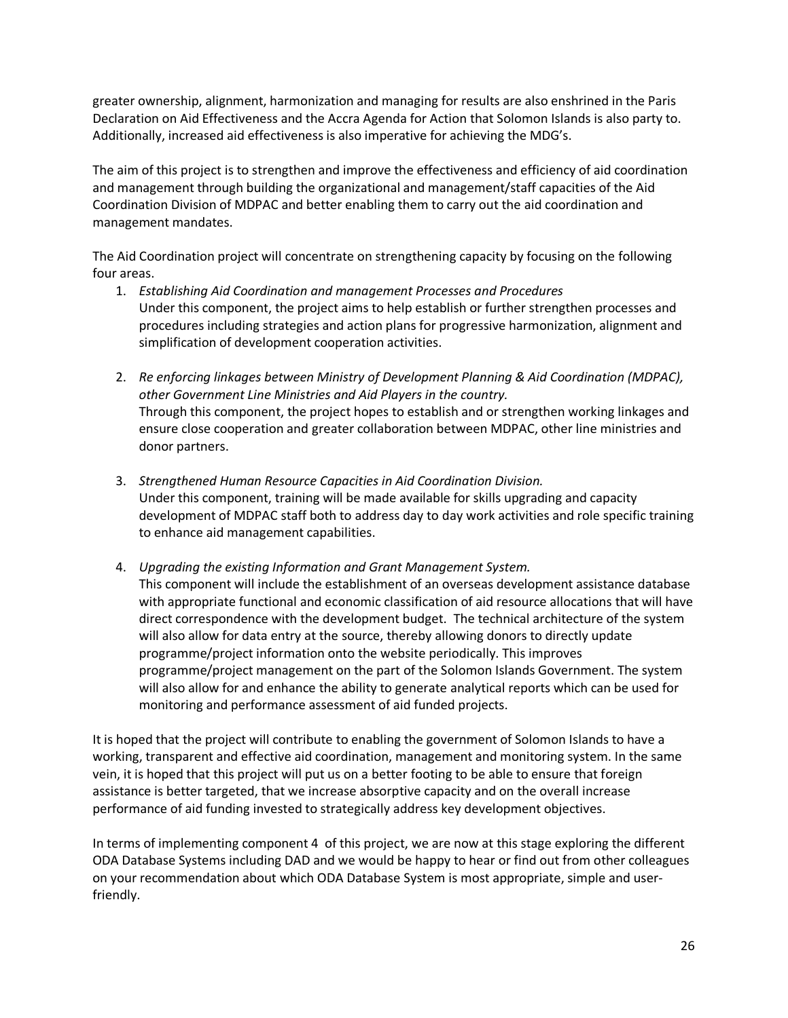greater ownership, alignment, harmonization and managing for results are also enshrined in the Paris Declaration on Aid Effectiveness and the Accra Agenda for Action that Solomon Islands is also party to. Additionally, increased aid effectiveness is also imperative for achieving the MDG's.

The aim of this project is to strengthen and improve the effectiveness and efficiency of aid coordination and management through building the organizational and management/staff capacities of the Aid Coordination Division of MDPAC and better enabling them to carry out the aid coordination and management mandates.

The Aid Coordination project will concentrate on strengthening capacity by focusing on the following four areas.

- 1. *Establishing Aid Coordination and management Processes and Procedures* Under this component, the project aims to help establish or further strengthen processes and procedures including strategies and action plans for progressive harmonization, alignment and simplification of development cooperation activities.
- 2. *Re enforcing linkages between Ministry of Development Planning & Aid Coordination (MDPAC), other Government Line Ministries and Aid Players in the country.* Through this component, the project hopes to establish and or strengthen working linkages and ensure close cooperation and greater collaboration between MDPAC, other line ministries and donor partners.
- 3. *Strengthened Human Resource Capacities in Aid Coordination Division.* Under this component, training will be made available for skills upgrading and capacity development of MDPAC staff both to address day to day work activities and role specific training to enhance aid management capabilities.
- 4. *Upgrading the existing Information and Grant Management System.* This component will include the establishment of an overseas development assistance database with appropriate functional and economic classification of aid resource allocations that will have direct correspondence with the development budget. The technical architecture of the system will also allow for data entry at the source, thereby allowing donors to directly update programme/project information onto the website periodically. This improves programme/project management on the part of the Solomon Islands Government. The system will also allow for and enhance the ability to generate analytical reports which can be used for monitoring and performance assessment of aid funded projects.

It is hoped that the project will contribute to enabling the government of Solomon Islands to have a working, transparent and effective aid coordination, management and monitoring system. In the same vein, it is hoped that this project will put us on a better footing to be able to ensure that foreign assistance is better targeted, that we increase absorptive capacity and on the overall increase performance of aid funding invested to strategically address key development objectives.

In terms of implementing component 4 of this project, we are now at this stage exploring the different ODA Database Systems including DAD and we would be happy to hear or find out from other colleagues on your recommendation about which ODA Database System is most appropriate, simple and userfriendly.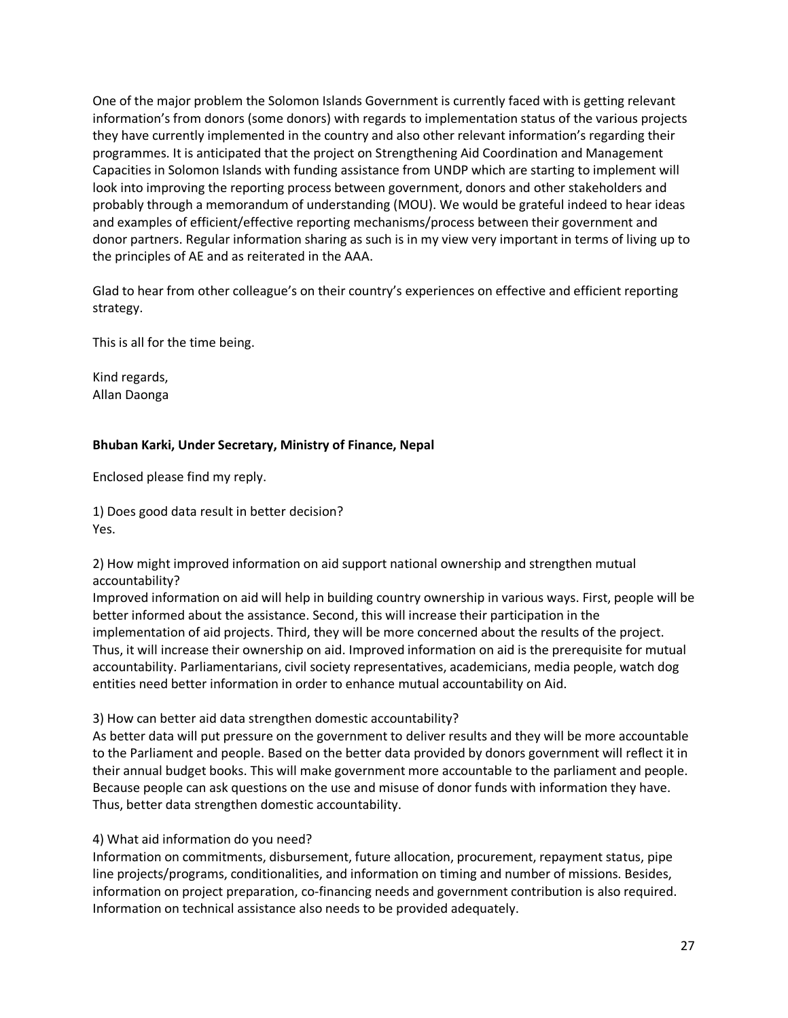One of the major problem the Solomon Islands Government is currently faced with is getting relevant information's from donors (some donors) with regards to implementation status of the various projects they have currently implemented in the country and also other relevant information's regarding their programmes. It is anticipated that the project on Strengthening Aid Coordination and Management Capacities in Solomon Islands with funding assistance from UNDP which are starting to implement will look into improving the reporting process between government, donors and other stakeholders and probably through a memorandum of understanding (MOU). We would be grateful indeed to hear ideas and examples of efficient/effective reporting mechanisms/process between their government and donor partners. Regular information sharing as such is in my view very important in terms of living up to the principles of AE and as reiterated in the AAA.

Glad to hear from other colleague's on their country's experiences on effective and efficient reporting strategy.

This is all for the time being.

Kind regards, Allan Daonga

## **Bhuban Karki, Under Secretary, Ministry of Finance, Nepal**

Enclosed please find my reply.

1) Does good data result in better decision? Yes.

2) How might improved information on aid support national ownership and strengthen mutual accountability?

Improved information on aid will help in building country ownership in various ways. First, people will be better informed about the assistance. Second, this will increase their participation in the implementation of aid projects. Third, they will be more concerned about the results of the project. Thus, it will increase their ownership on aid. Improved information on aid is the prerequisite for mutual accountability. Parliamentarians, civil society representatives, academicians, media people, watch dog entities need better information in order to enhance mutual accountability on Aid.

3) How can better aid data strengthen domestic accountability?

As better data will put pressure on the government to deliver results and they will be more accountable to the Parliament and people. Based on the better data provided by donors government will reflect it in their annual budget books. This will make government more accountable to the parliament and people. Because people can ask questions on the use and misuse of donor funds with information they have. Thus, better data strengthen domestic accountability.

4) What aid information do you need?

Information on commitments, disbursement, future allocation, procurement, repayment status, pipe line projects/programs, conditionalities, and information on timing and number of missions. Besides, information on project preparation, co-financing needs and government contribution is also required. Information on technical assistance also needs to be provided adequately.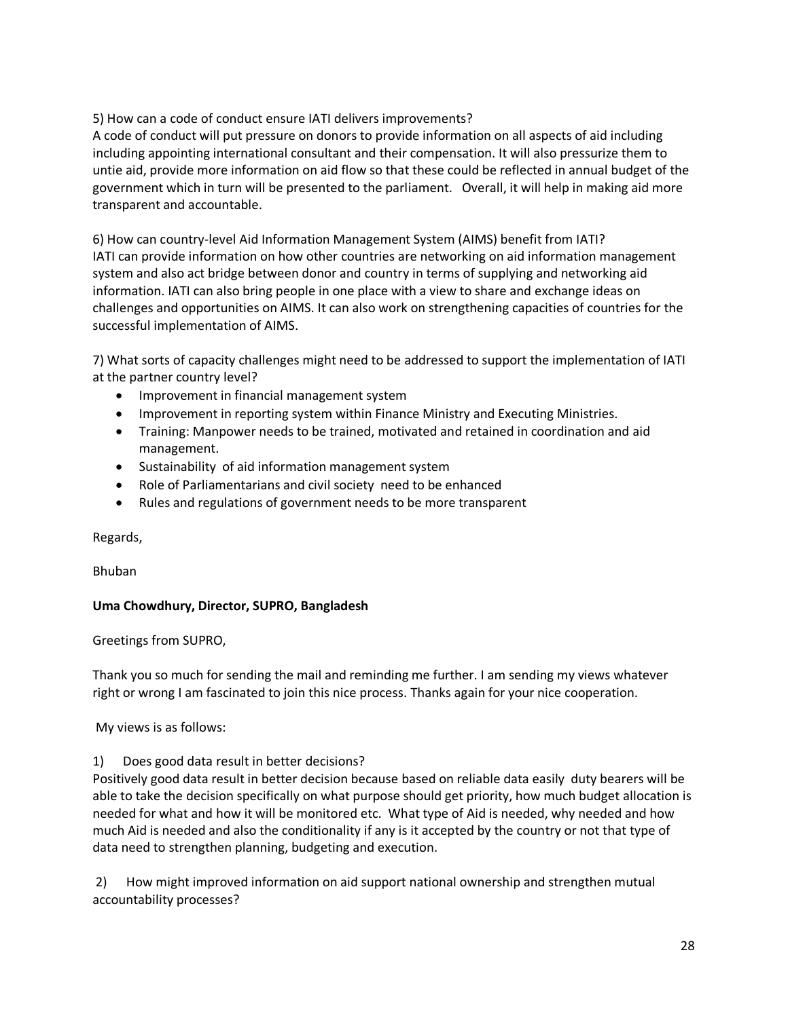# 5) How can a code of conduct ensure IATI delivers improvements?

A code of conduct will put pressure on donors to provide information on all aspects of aid including including appointing international consultant and their compensation. It will also pressurize them to untie aid, provide more information on aid flow so that these could be reflected in annual budget of the government which in turn will be presented to the parliament. Overall, it will help in making aid more transparent and accountable.

6) How can country-level Aid Information Management System (AIMS) benefit from IATI? IATI can provide information on how other countries are networking on aid information management system and also act bridge between donor and country in terms of supplying and networking aid information. IATI can also bring people in one place with a view to share and exchange ideas on challenges and opportunities on AIMS. It can also work on strengthening capacities of countries for the successful implementation of AIMS.

7) What sorts of capacity challenges might need to be addressed to support the implementation of IATI at the partner country level?

- Improvement in financial management system
- Improvement in reporting system within Finance Ministry and Executing Ministries.
- Training: Manpower needs to be trained, motivated and retained in coordination and aid management.
- Sustainability of aid information management system
- Role of Parliamentarians and civil society need to be enhanced
- Rules and regulations of government needs to be more transparent

Regards,

Bhuban

# **Uma Chowdhury, Director, SUPRO, Bangladesh**

Greetings from SUPRO,

Thank you so much for sending the mail and reminding me further. I am sending my views whatever right or wrong I am fascinated to join this nice process. Thanks again for your nice cooperation.

My views is as follows:

1) Does good data result in better decisions?

Positively good data result in better decision because based on reliable data easily duty bearers will be able to take the decision specifically on what purpose should get priority, how much budget allocation is needed for what and how it will be monitored etc. What type of Aid is needed, why needed and how much Aid is needed and also the conditionality if any is it accepted by the country or not that type of data need to strengthen planning, budgeting and execution.

2) How might improved information on aid support national ownership and strengthen mutual accountability processes?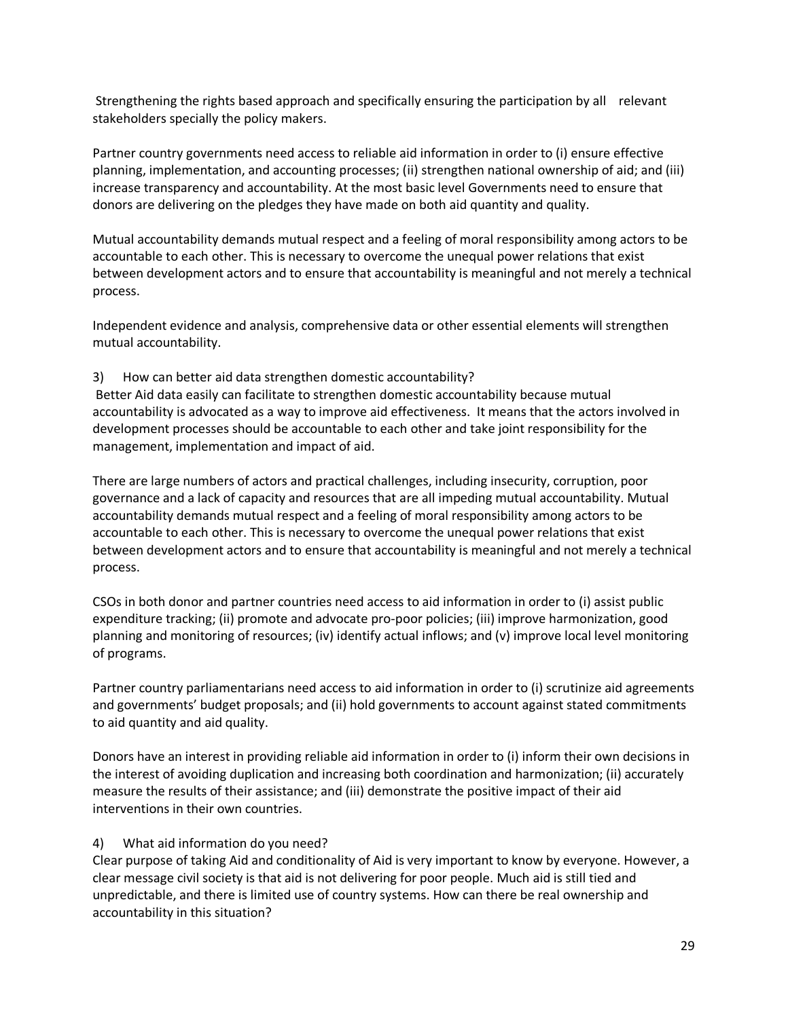Strengthening the rights based approach and specifically ensuring the participation by all relevant stakeholders specially the policy makers.

Partner country governments need access to reliable aid information in order to (i) ensure effective planning, implementation, and accounting processes; (ii) strengthen national ownership of aid; and (iii) increase transparency and accountability. At the most basic level Governments need to ensure that donors are delivering on the pledges they have made on both aid quantity and quality.

Mutual accountability demands mutual respect and a feeling of moral responsibility among actors to be accountable to each other. This is necessary to overcome the unequal power relations that exist between development actors and to ensure that accountability is meaningful and not merely a technical process.

Independent evidence and analysis, comprehensive data or other essential elements will strengthen mutual accountability.

## 3) How can better aid data strengthen domestic accountability?

Better Aid data easily can facilitate to strengthen domestic accountability because mutual accountability is advocated as a way to improve aid effectiveness. It means that the actors involved in development processes should be accountable to each other and take joint responsibility for the management, implementation and impact of aid.

There are large numbers of actors and practical challenges, including insecurity, corruption, poor governance and a lack of capacity and resources that are all impeding mutual accountability. Mutual accountability demands mutual respect and a feeling of moral responsibility among actors to be accountable to each other. This is necessary to overcome the unequal power relations that exist between development actors and to ensure that accountability is meaningful and not merely a technical process.

CSOs in both donor and partner countries need access to aid information in order to (i) assist public expenditure tracking; (ii) promote and advocate pro-poor policies; (iii) improve harmonization, good planning and monitoring of resources; (iv) identify actual inflows; and (v) improve local level monitoring of programs.

Partner country parliamentarians need access to aid information in order to (i) scrutinize aid agreements and governments' budget proposals; and (ii) hold governments to account against stated commitments to aid quantity and aid quality.

Donors have an interest in providing reliable aid information in order to (i) inform their own decisions in the interest of avoiding duplication and increasing both coordination and harmonization; (ii) accurately measure the results of their assistance; and (iii) demonstrate the positive impact of their aid interventions in their own countries.

### 4) What aid information do you need?

Clear purpose of taking Aid and conditionality of Aid is very important to know by everyone. However, a clear message civil society is that aid is not delivering for poor people. Much aid is still tied and unpredictable, and there is limited use of country systems. How can there be real ownership and accountability in this situation?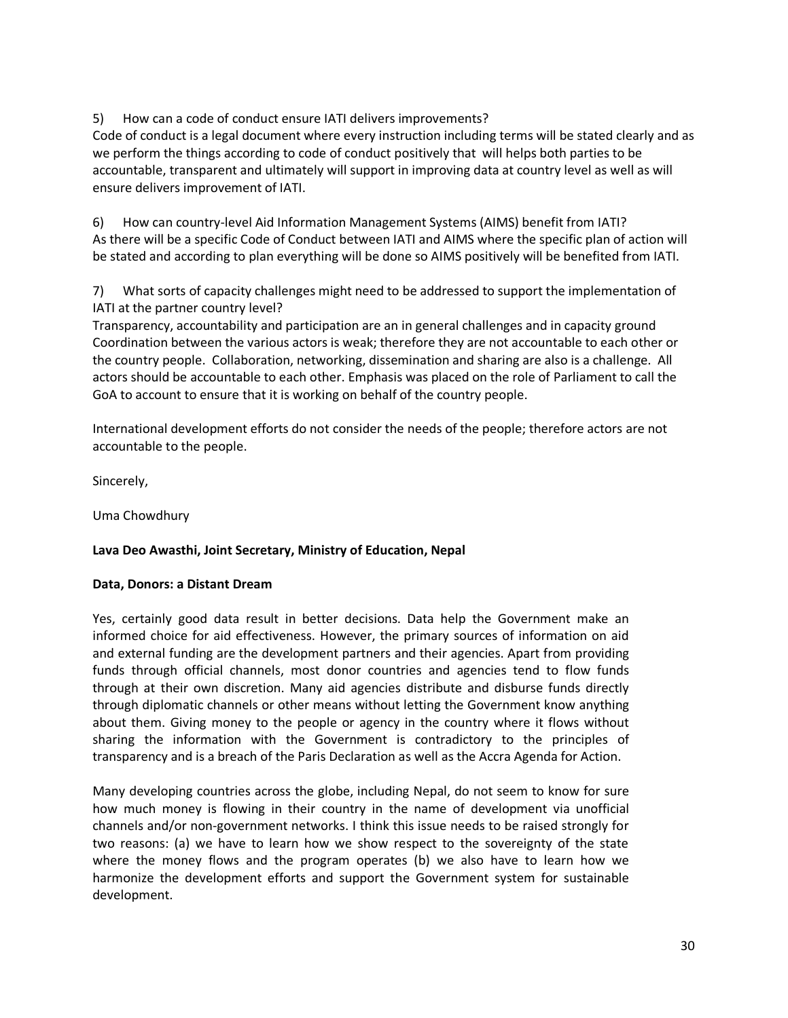5) How can a code of conduct ensure IATI delivers improvements?

Code of conduct is a legal document where every instruction including terms will be stated clearly and as we perform the things according to code of conduct positively that will helps both parties to be accountable, transparent and ultimately will support in improving data at country level as well as will ensure delivers improvement of IATI.

6) How can country-level Aid Information Management Systems (AIMS) benefit from IATI? As there will be a specific Code of Conduct between IATI and AIMS where the specific plan of action will be stated and according to plan everything will be done so AIMS positively will be benefited from IATI.

7) What sorts of capacity challenges might need to be addressed to support the implementation of IATI at the partner country level?

Transparency, accountability and participation are an in general challenges and in capacity ground Coordination between the various actors is weak; therefore they are not accountable to each other or the country people. Collaboration, networking, dissemination and sharing are also is a challenge. All actors should be accountable to each other. Emphasis was placed on the role of Parliament to call the GoA to account to ensure that it is working on behalf of the country people.

International development efforts do not consider the needs of the people; therefore actors are not accountable to the people.

Sincerely,

Uma Chowdhury

# **Lava Deo Awasthi, Joint Secretary, Ministry of Education, Nepal**

# **Data, Donors: a Distant Dream**

Yes, certainly good data result in better decisions. Data help the Government make an informed choice for aid effectiveness. However, the primary sources of information on aid and external funding are the development partners and their agencies. Apart from providing funds through official channels, most donor countries and agencies tend to flow funds through at their own discretion. Many aid agencies distribute and disburse funds directly through diplomatic channels or other means without letting the Government know anything about them. Giving money to the people or agency in the country where it flows without sharing the information with the Government is contradictory to the principles of transparency and is a breach of the Paris Declaration as well as the Accra Agenda for Action.

Many developing countries across the globe, including Nepal, do not seem to know for sure how much money is flowing in their country in the name of development via unofficial channels and/or non-government networks. I think this issue needs to be raised strongly for two reasons: (a) we have to learn how we show respect to the sovereignty of the state where the money flows and the program operates (b) we also have to learn how we harmonize the development efforts and support the Government system for sustainable development.